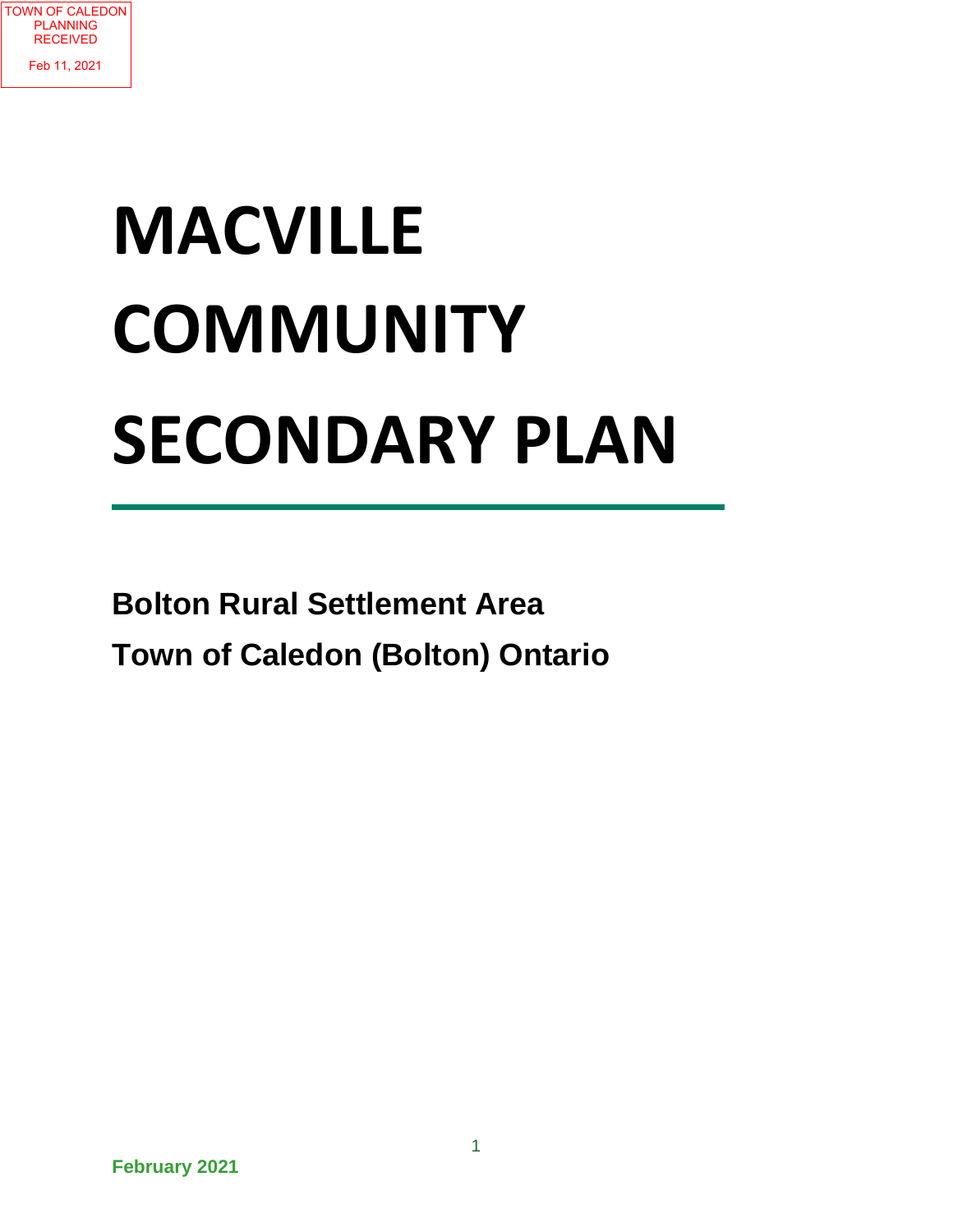

# **MACVILLE COMMUNITY SECONDARY PLAN**

**Bolton Rural Settlement Area Town of Caledon (Bolton) Ontario**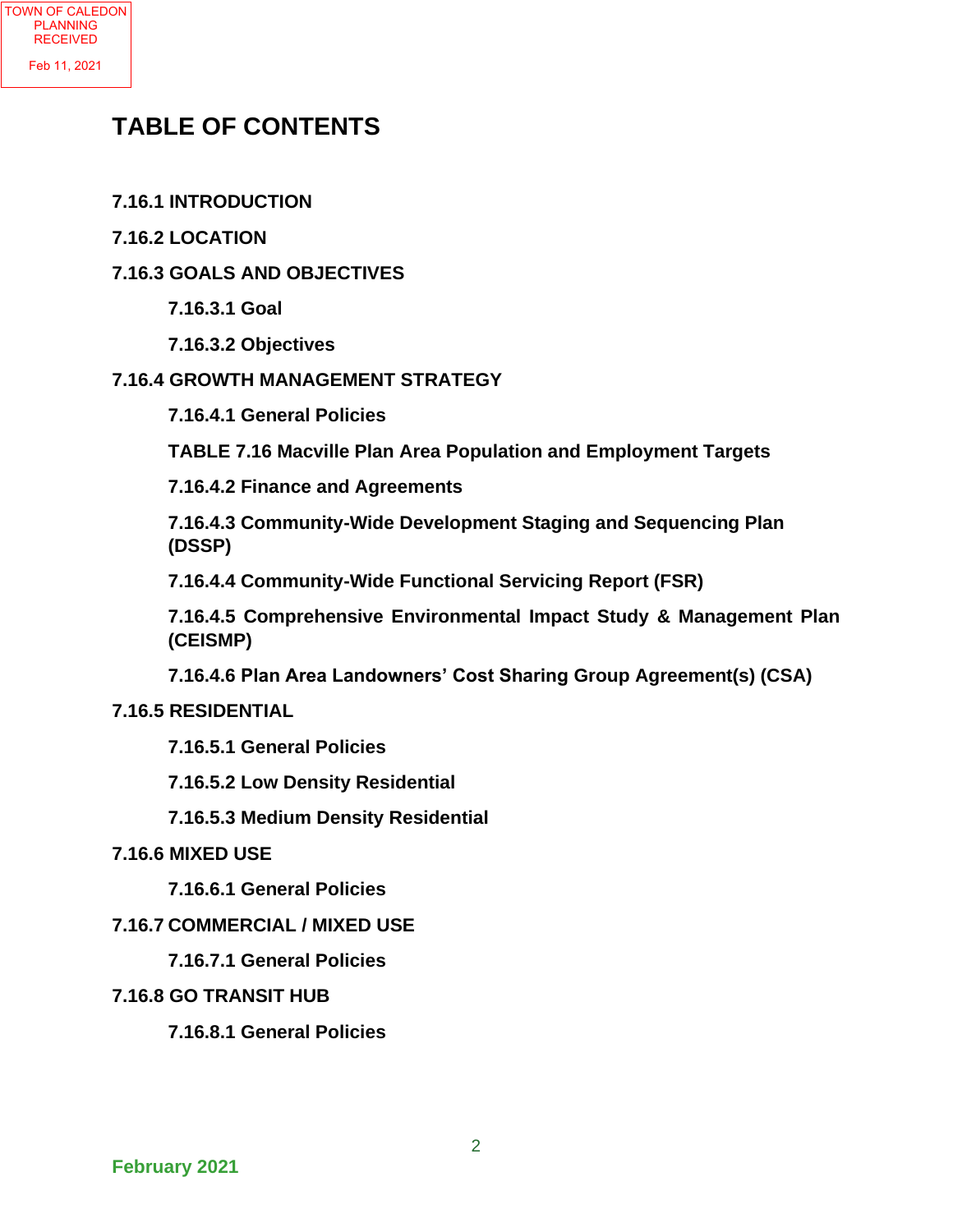## **TABLE OF CONTENTS**

- **7.16.1 INTRODUCTION**
- **7.16.2 LOCATION**

#### **7.16.3 GOALS AND OBJECTIVES**

**7.16.3.1 Goal**

**7.16.3.2 Objectives**

### **7.16.4 GROWTH MANAGEMENT STRATEGY**

- **7.16.4.1 General Policies**
- **TABLE 7.16 Macville Plan Area Population and Employment Targets**
- **7.16.4.2 Finance and Agreements**

**7.16.4.3 Community-Wide Development Staging and Sequencing Plan (DSSP)**

**7.16.4.4 Community-Wide Functional Servicing Report (FSR)**

**7.16.4.5 Comprehensive Environmental Impact Study & Management Plan (CEISMP)** 

**7.16.4.6 Plan Area Landowners' Cost Sharing Group Agreement(s) (CSA)**

#### **7.16.5 RESIDENTIAL**

- **7.16.5.1 General Policies**
- **7.16.5.2 Low Density Residential**
- **7.16.5.3 Medium Density Residential**

#### **7.16.6 MIXED USE**

**7.16.6.1 General Policies**

#### **7.16.7 COMMERCIAL / MIXED USE**

#### **7.16.7.1 General Policies**

#### **7.16.8 GO TRANSIT HUB**

**7.16.8.1 General Policies**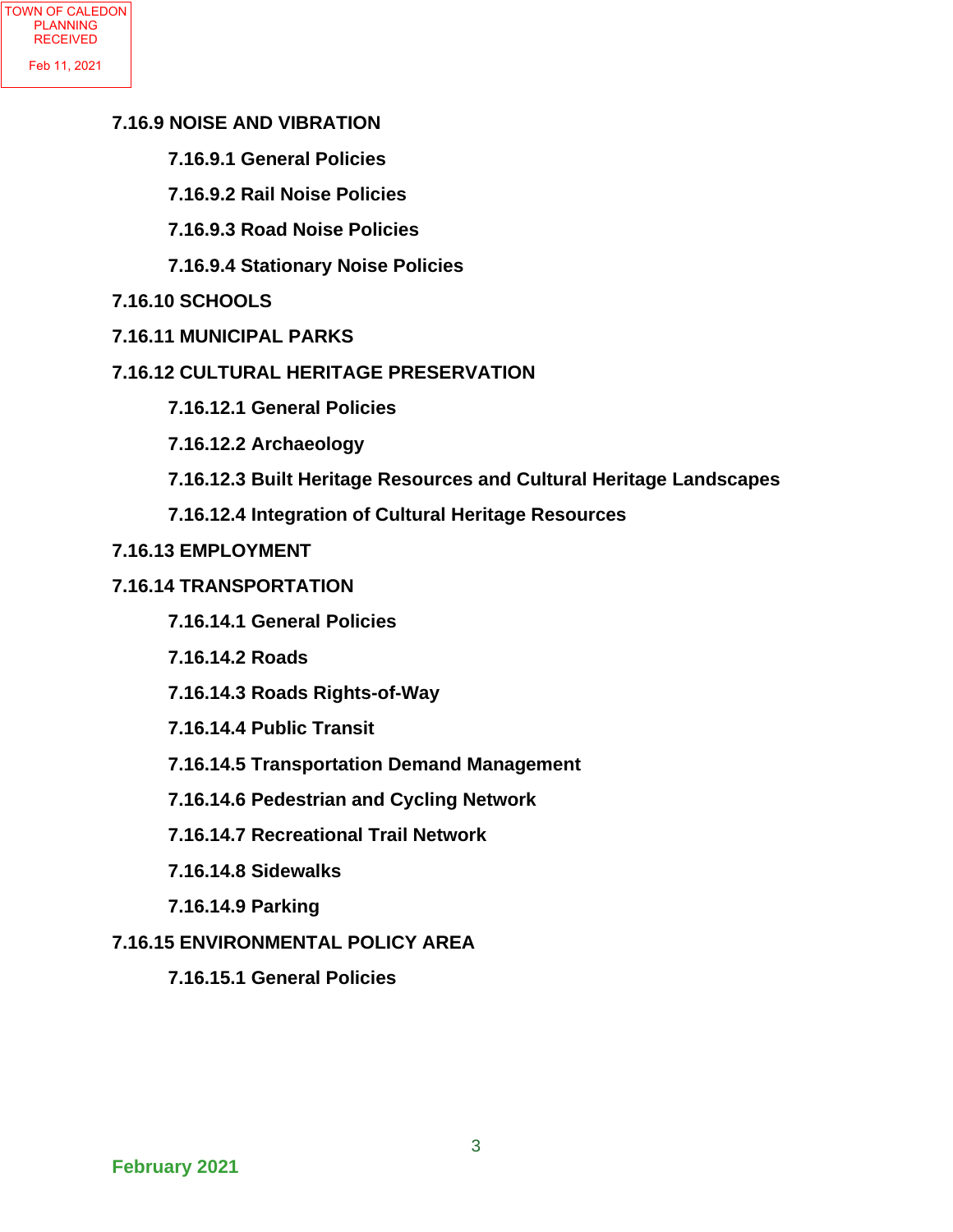#### **7.16.9 NOISE AND VIBRATION**

- **7.16.9.1 General Policies**
- **7.16.9.2 Rail Noise Policies**
- **7.16.9.3 Road Noise Policies**
- **7.16.9.4 Stationary Noise Policies**
- **7.16.10 SCHOOLS**
- **7.16.11 MUNICIPAL PARKS**

#### **7.16.12 CULTURAL HERITAGE PRESERVATION**

- **7.16.12.1 General Policies**
- **7.16.12.2 Archaeology**
- **7.16.12.3 Built Heritage Resources and Cultural Heritage Landscapes**
- **7.16.12.4 Integration of Cultural Heritage Resources**

#### **7.16.13 EMPLOYMENT**

- **7.16.14 TRANSPORTATION**
	- **7.16.14.1 General Policies**
	- **7.16.14.2 Roads**
	- **7.16.14.3 Roads Rights-of-Way**
	- **7.16.14.4 Public Transit**
	- **7.16.14.5 Transportation Demand Management**
	- **7.16.14.6 Pedestrian and Cycling Network**
	- **7.16.14.7 Recreational Trail Network**
	- **7.16.14.8 Sidewalks**
	- **7.16.14.9 Parking**

#### **7.16.15 ENVIRONMENTAL POLICY AREA**

**7.16.15.1 General Policies**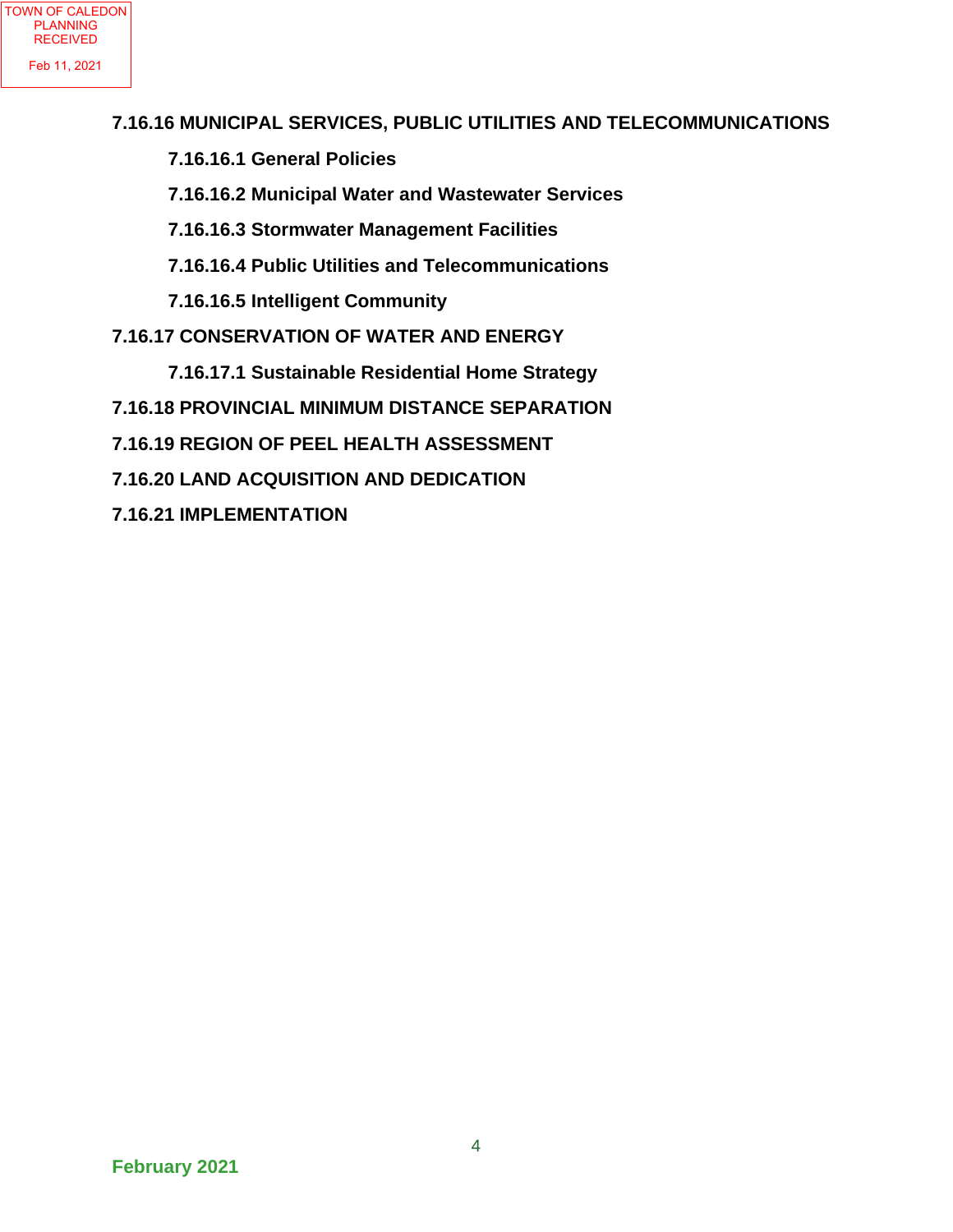#### **7.16.16 MUNICIPAL SERVICES, PUBLIC UTILITIES AND TELECOMMUNICATIONS**

- **7.16.16.1 General Policies**
- **7.16.16.2 Municipal Water and Wastewater Services**
- **7.16.16.3 Stormwater Management Facilities**
- **7.16.16.4 Public Utilities and Telecommunications**
- **7.16.16.5 Intelligent Community**
- **7.16.17 CONSERVATION OF WATER AND ENERGY**
	- **7.16.17.1 Sustainable Residential Home Strategy**
- **7.16.18 PROVINCIAL MINIMUM DISTANCE SEPARATION**
- **7.16.19 REGION OF PEEL HEALTH ASSESSMENT**
- **7.16.20 LAND ACQUISITION AND DEDICATION**
- **7.16.21 IMPLEMENTATION**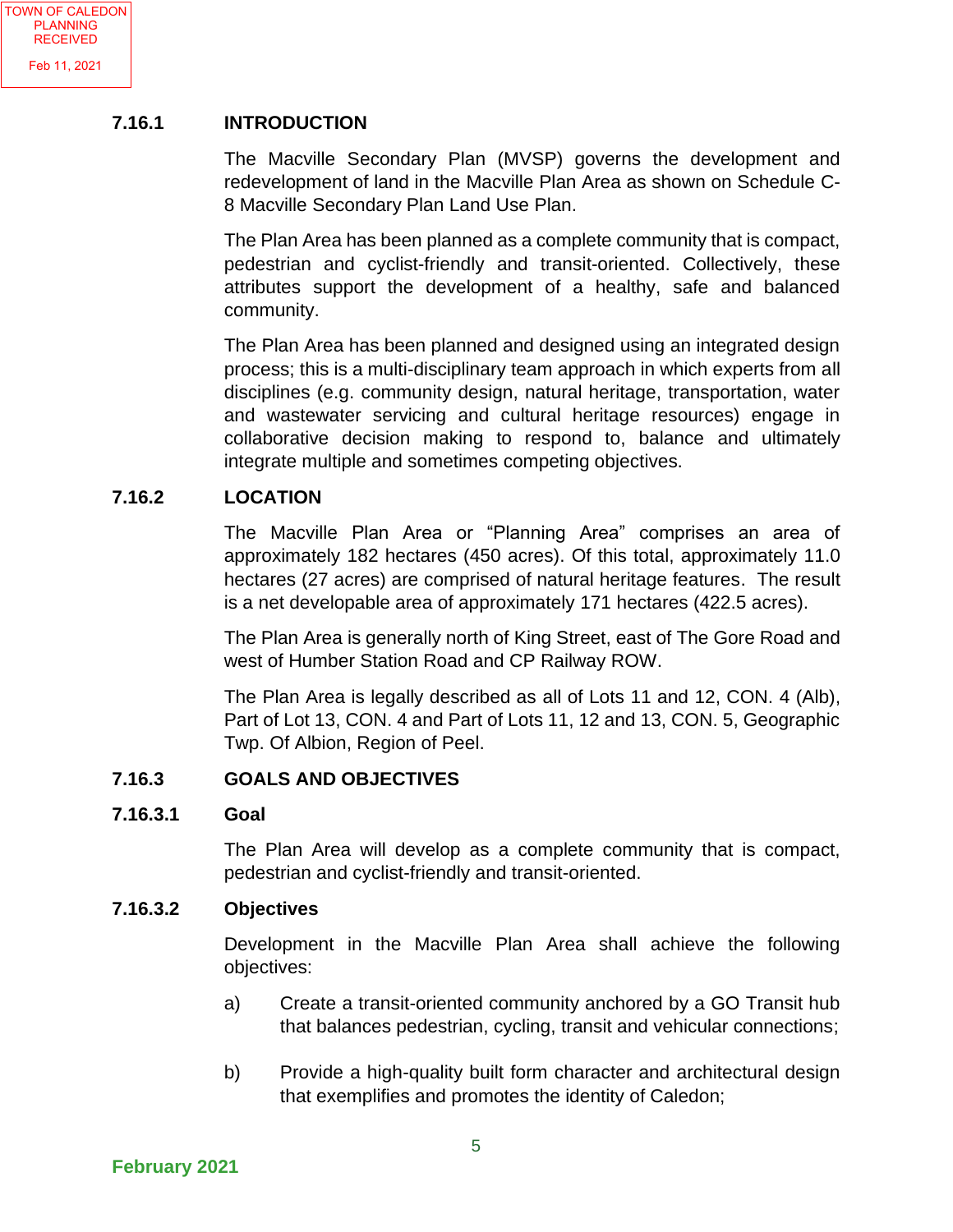#### **7.16.1 INTRODUCTION**

The Macville Secondary Plan (MVSP) governs the development and redevelopment of land in the Macville Plan Area as shown on Schedule C-8 Macville Secondary Plan Land Use Plan.

The Plan Area has been planned as a complete community that is compact, pedestrian and cyclist-friendly and transit-oriented. Collectively, these attributes support the development of a healthy, safe and balanced community.

The Plan Area has been planned and designed using an integrated design process; this is a multi-disciplinary team approach in which experts from all disciplines (e.g. community design, natural heritage, transportation, water and wastewater servicing and cultural heritage resources) engage in collaborative decision making to respond to, balance and ultimately integrate multiple and sometimes competing objectives.

#### **7.16.2 LOCATION**

The Macville Plan Area or "Planning Area" comprises an area of approximately 182 hectares (450 acres). Of this total, approximately 11.0 hectares (27 acres) are comprised of natural heritage features. The result is a net developable area of approximately 171 hectares (422.5 acres).

The Plan Area is generally north of King Street, east of The Gore Road and west of Humber Station Road and CP Railway ROW.

The Plan Area is legally described as all of Lots 11 and 12, CON. 4 (Alb), Part of Lot 13, CON. 4 and Part of Lots 11, 12 and 13, CON. 5, Geographic Twp. Of Albion, Region of Peel.

#### **7.16.3 GOALS AND OBJECTIVES**

#### **7.16.3.1 Goal**

The Plan Area will develop as a complete community that is compact, pedestrian and cyclist-friendly and transit-oriented.

#### **7.16.3.2 Objectives**

Development in the Macville Plan Area shall achieve the following objectives:

- a) Create a transit-oriented community anchored by a GO Transit hub that balances pedestrian, cycling, transit and vehicular connections;
- b) Provide a high-quality built form character and architectural design that exemplifies and promotes the identity of Caledon;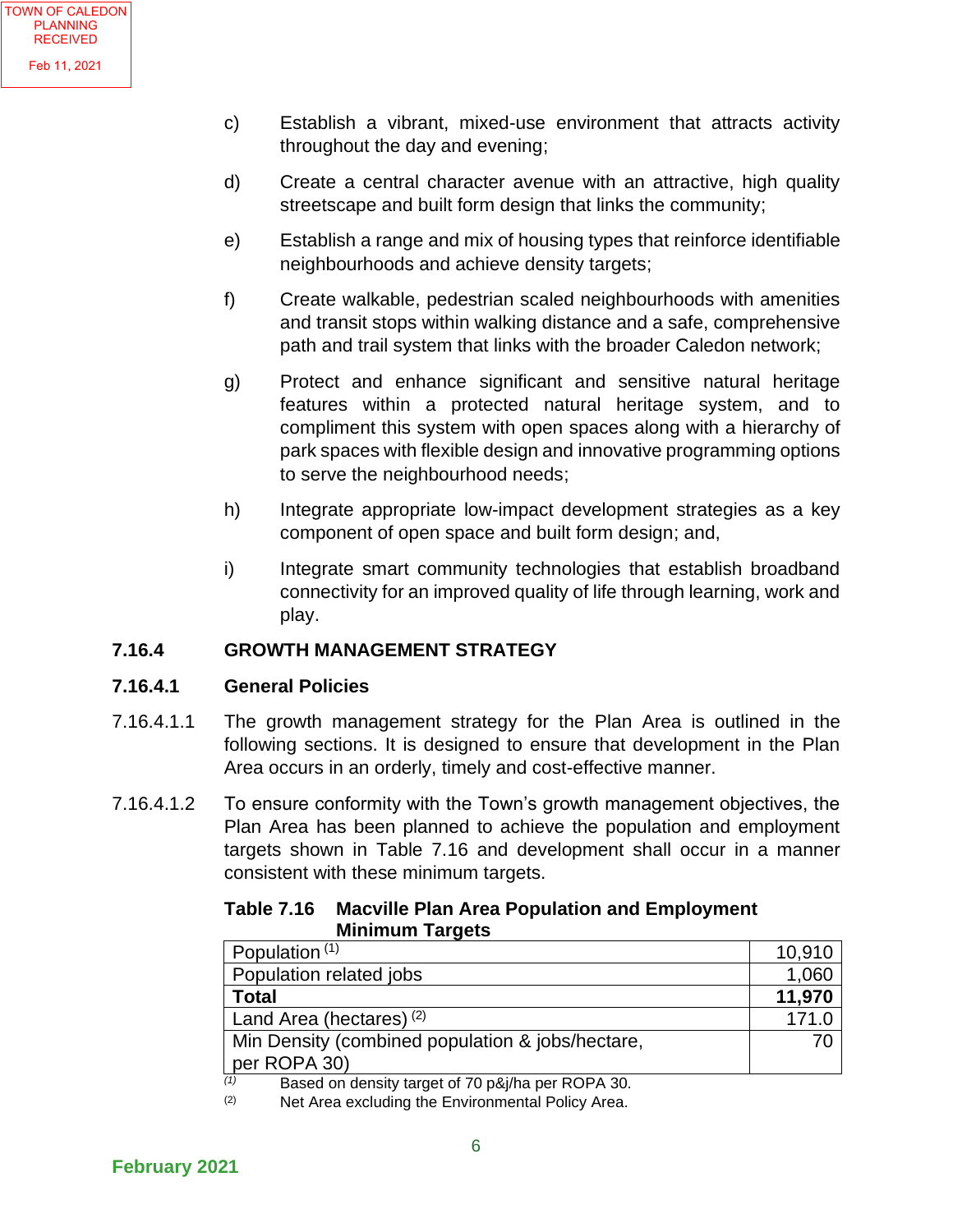- c) Establish a vibrant, mixed-use environment that attracts activity throughout the day and evening;
- d) Create a central character avenue with an attractive, high quality streetscape and built form design that links the community;
- e) Establish a range and mix of housing types that reinforce identifiable neighbourhoods and achieve density targets;
- f) Create walkable, pedestrian scaled neighbourhoods with amenities and transit stops within walking distance and a safe, comprehensive path and trail system that links with the broader Caledon network;
- g) Protect and enhance significant and sensitive natural heritage features within a protected natural heritage system, and to compliment this system with open spaces along with a hierarchy of park spaces with flexible design and innovative programming options to serve the neighbourhood needs;
- h) Integrate appropriate low-impact development strategies as a key component of open space and built form design; and,
- i) Integrate smart community technologies that establish broadband connectivity for an improved quality of life through learning, work and play.

#### **7.16.4 GROWTH MANAGEMENT STRATEGY**

#### **7.16.4.1 General Policies**

- 7.16.4.1.1 The growth management strategy for the Plan Area is outlined in the following sections. It is designed to ensure that development in the Plan Area occurs in an orderly, timely and cost-effective manner.
- 7.16.4.1.2 To ensure conformity with the Town's growth management objectives, the Plan Area has been planned to achieve the population and employment targets shown in Table 7.16 and development shall occur in a manner consistent with these minimum targets.

#### **Table 7.16 Macville Plan Area Population and Employment Minimum Targets**

| Population <sup>(1)</sup>                                 | 10,910 |
|-----------------------------------------------------------|--------|
| Population related jobs                                   | 1,060  |
| <b>Total</b>                                              | 11,970 |
| Land Area (hectares) <sup>(2)</sup>                       | 171.0  |
| Min Density (combined population & jobs/hectare,          | 70     |
| per ROPA 30)                                              |        |
| (1)<br>Based on density target of 70 p.8 i/ba per ROPA 30 |        |

*(1)* Based on density target of 70 p&j/ha per ROPA 30.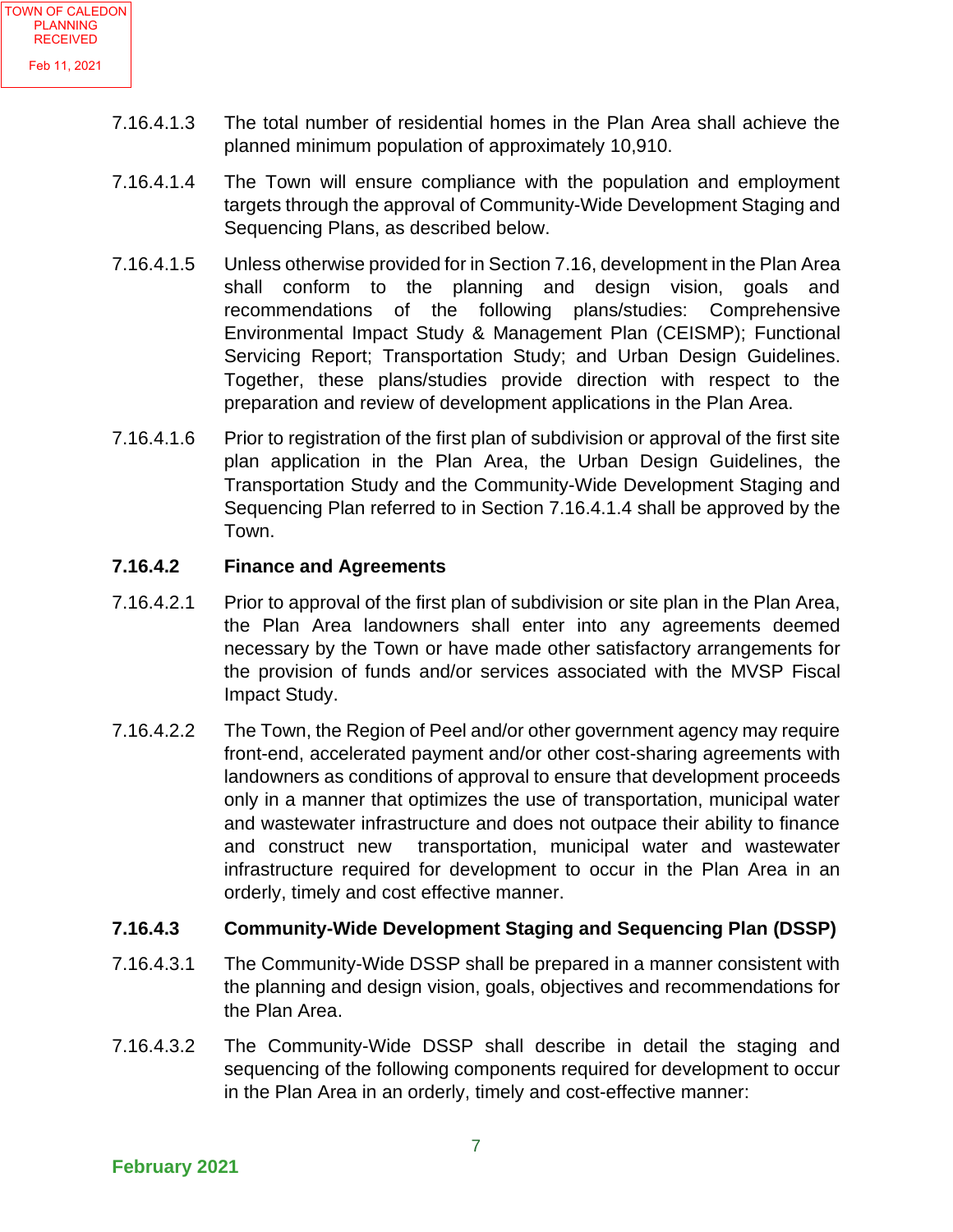- 7.16.4.1.3 The total number of residential homes in the Plan Area shall achieve the planned minimum population of approximately 10,910.
- 7.16.4.1.4 The Town will ensure compliance with the population and employment targets through the approval of Community-Wide Development Staging and Sequencing Plans, as described below.
- 7.16.4.1.5 Unless otherwise provided for in Section 7.16, development in the Plan Area shall conform to the planning and design vision, goals and recommendations of the following plans/studies: Comprehensive Environmental Impact Study & Management Plan (CEISMP); Functional Servicing Report; Transportation Study; and Urban Design Guidelines. Together, these plans/studies provide direction with respect to the preparation and review of development applications in the Plan Area.
- 7.16.4.1.6 Prior to registration of the first plan of subdivision or approval of the first site plan application in the Plan Area, the Urban Design Guidelines, the Transportation Study and the Community-Wide Development Staging and Sequencing Plan referred to in Section 7.16.4.1.4 shall be approved by the Town.

#### **7.16.4.2 Finance and Agreements**

- 7.16.4.2.1 Prior to approval of the first plan of subdivision or site plan in the Plan Area, the Plan Area landowners shall enter into any agreements deemed necessary by the Town or have made other satisfactory arrangements for the provision of funds and/or services associated with the MVSP Fiscal Impact Study.
- 7.16.4.2.2 The Town, the Region of Peel and/or other government agency may require front-end, accelerated payment and/or other cost-sharing agreements with landowners as conditions of approval to ensure that development proceeds only in a manner that optimizes the use of transportation, municipal water and wastewater infrastructure and does not outpace their ability to finance and construct new transportation, municipal water and wastewater infrastructure required for development to occur in the Plan Area in an orderly, timely and cost effective manner.

#### **7.16.4.3 Community-Wide Development Staging and Sequencing Plan (DSSP)**

- 7.16.4.3.1 The Community-Wide DSSP shall be prepared in a manner consistent with the planning and design vision, goals, objectives and recommendations for the Plan Area.
- 7.16.4.3.2 The Community-Wide DSSP shall describe in detail the staging and sequencing of the following components required for development to occur in the Plan Area in an orderly, timely and cost-effective manner: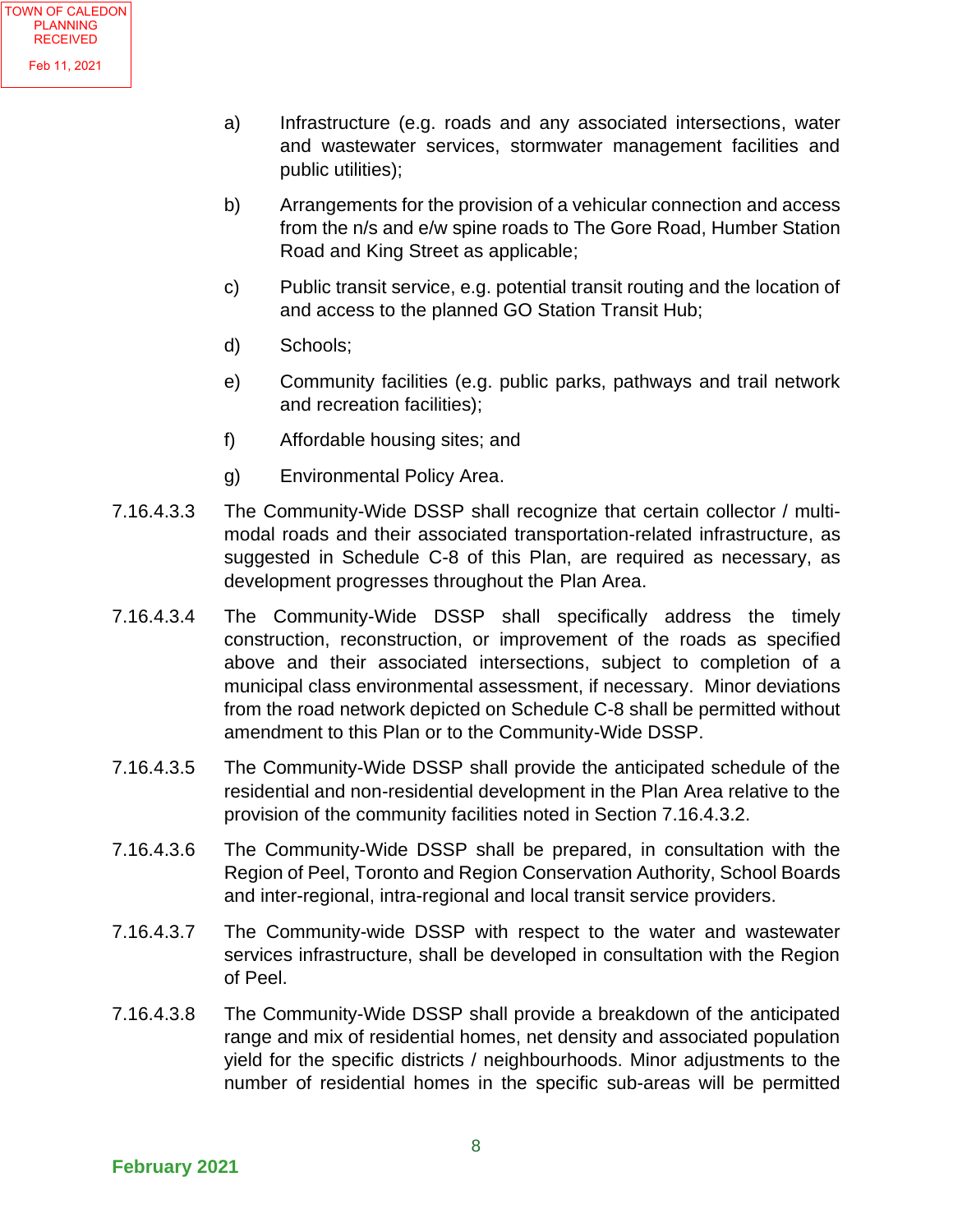- a) Infrastructure (e.g. roads and any associated intersections, water and wastewater services, stormwater management facilities and public utilities);
- b) Arrangements for the provision of a vehicular connection and access from the n/s and e/w spine roads to The Gore Road, Humber Station Road and King Street as applicable;
- c) Public transit service, e.g. potential transit routing and the location of and access to the planned GO Station Transit Hub;
- d) Schools;
- e) Community facilities (e.g. public parks, pathways and trail network and recreation facilities);
- f) Affordable housing sites; and
- g) Environmental Policy Area.
- 7.16.4.3.3 The Community-Wide DSSP shall recognize that certain collector / multimodal roads and their associated transportation-related infrastructure, as suggested in Schedule C-8 of this Plan, are required as necessary, as development progresses throughout the Plan Area.
- 7.16.4.3.4 The Community-Wide DSSP shall specifically address the timely construction, reconstruction, or improvement of the roads as specified above and their associated intersections, subject to completion of a municipal class environmental assessment, if necessary. Minor deviations from the road network depicted on Schedule C-8 shall be permitted without amendment to this Plan or to the Community-Wide DSSP.
- 7.16.4.3.5 The Community-Wide DSSP shall provide the anticipated schedule of the residential and non-residential development in the Plan Area relative to the provision of the community facilities noted in Section 7.16.4.3.2.
- 7.16.4.3.6 The Community-Wide DSSP shall be prepared, in consultation with the Region of Peel, Toronto and Region Conservation Authority, School Boards and inter-regional, intra-regional and local transit service providers.
- 7.16.4.3.7 The Community-wide DSSP with respect to the water and wastewater services infrastructure, shall be developed in consultation with the Region of Peel.
- 7.16.4.3.8 The Community-Wide DSSP shall provide a breakdown of the anticipated range and mix of residential homes, net density and associated population yield for the specific districts / neighbourhoods. Minor adjustments to the number of residential homes in the specific sub-areas will be permitted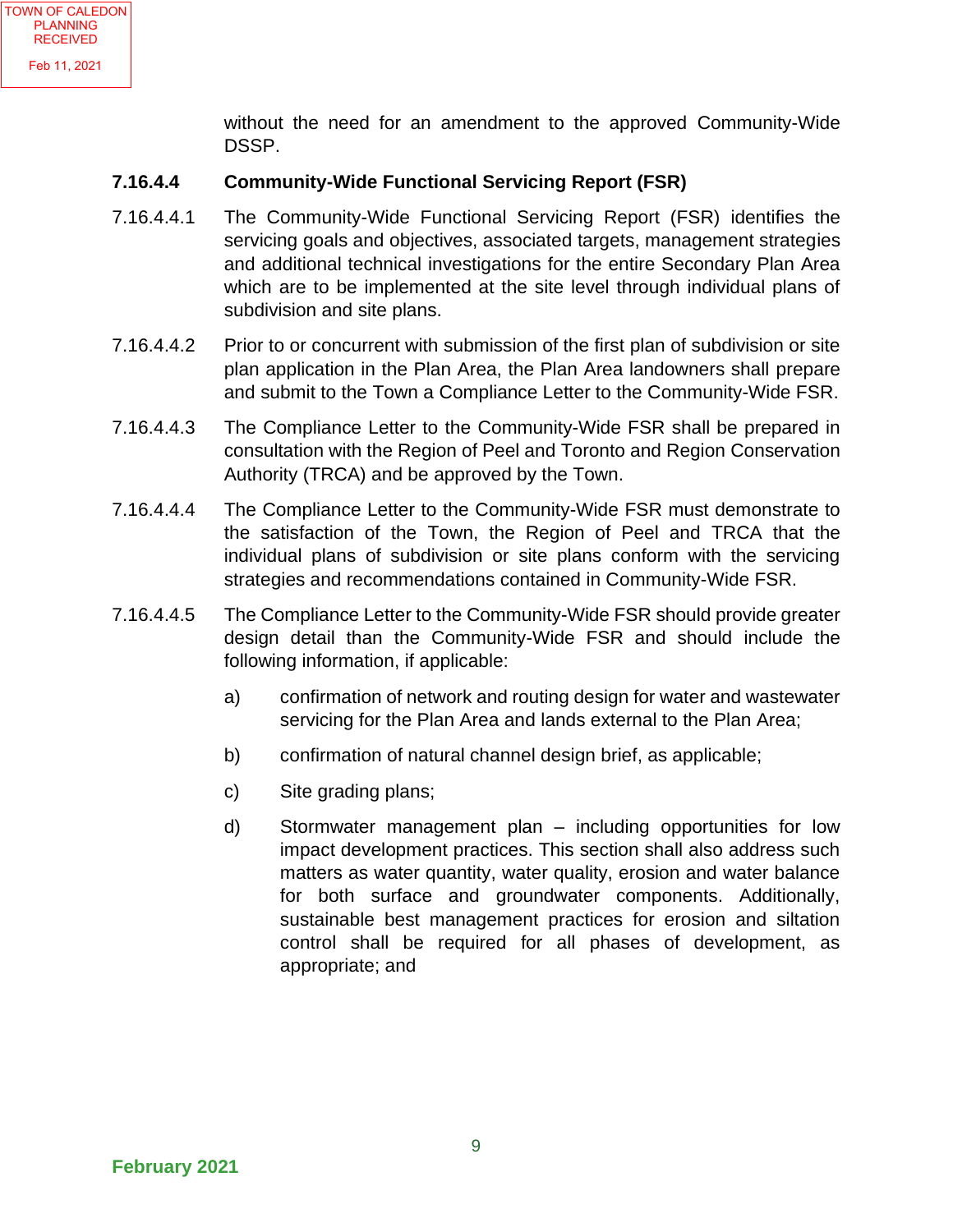without the need for an amendment to the approved Community-Wide DSSP.

#### **7.16.4.4 Community-Wide Functional Servicing Report (FSR)**

- 7.16.4.4.1 The Community-Wide Functional Servicing Report (FSR) identifies the servicing goals and objectives, associated targets, management strategies and additional technical investigations for the entire Secondary Plan Area which are to be implemented at the site level through individual plans of subdivision and site plans.
- 7.16.4.4.2 Prior to or concurrent with submission of the first plan of subdivision or site plan application in the Plan Area, the Plan Area landowners shall prepare and submit to the Town a Compliance Letter to the Community-Wide FSR.
- 7.16.4.4.3 The Compliance Letter to the Community-Wide FSR shall be prepared in consultation with the Region of Peel and Toronto and Region Conservation Authority (TRCA) and be approved by the Town.
- 7.16.4.4.4 The Compliance Letter to the Community-Wide FSR must demonstrate to the satisfaction of the Town, the Region of Peel and TRCA that the individual plans of subdivision or site plans conform with the servicing strategies and recommendations contained in Community-Wide FSR.
- 7.16.4.4.5 The Compliance Letter to the Community-Wide FSR should provide greater design detail than the Community-Wide FSR and should include the following information, if applicable:
	- a) confirmation of network and routing design for water and wastewater servicing for the Plan Area and lands external to the Plan Area;
	- b) confirmation of natural channel design brief, as applicable;
	- c) Site grading plans;
	- d) Stormwater management plan including opportunities for low impact development practices. This section shall also address such matters as water quantity, water quality, erosion and water balance for both surface and groundwater components. Additionally, sustainable best management practices for erosion and siltation control shall be required for all phases of development, as appropriate; and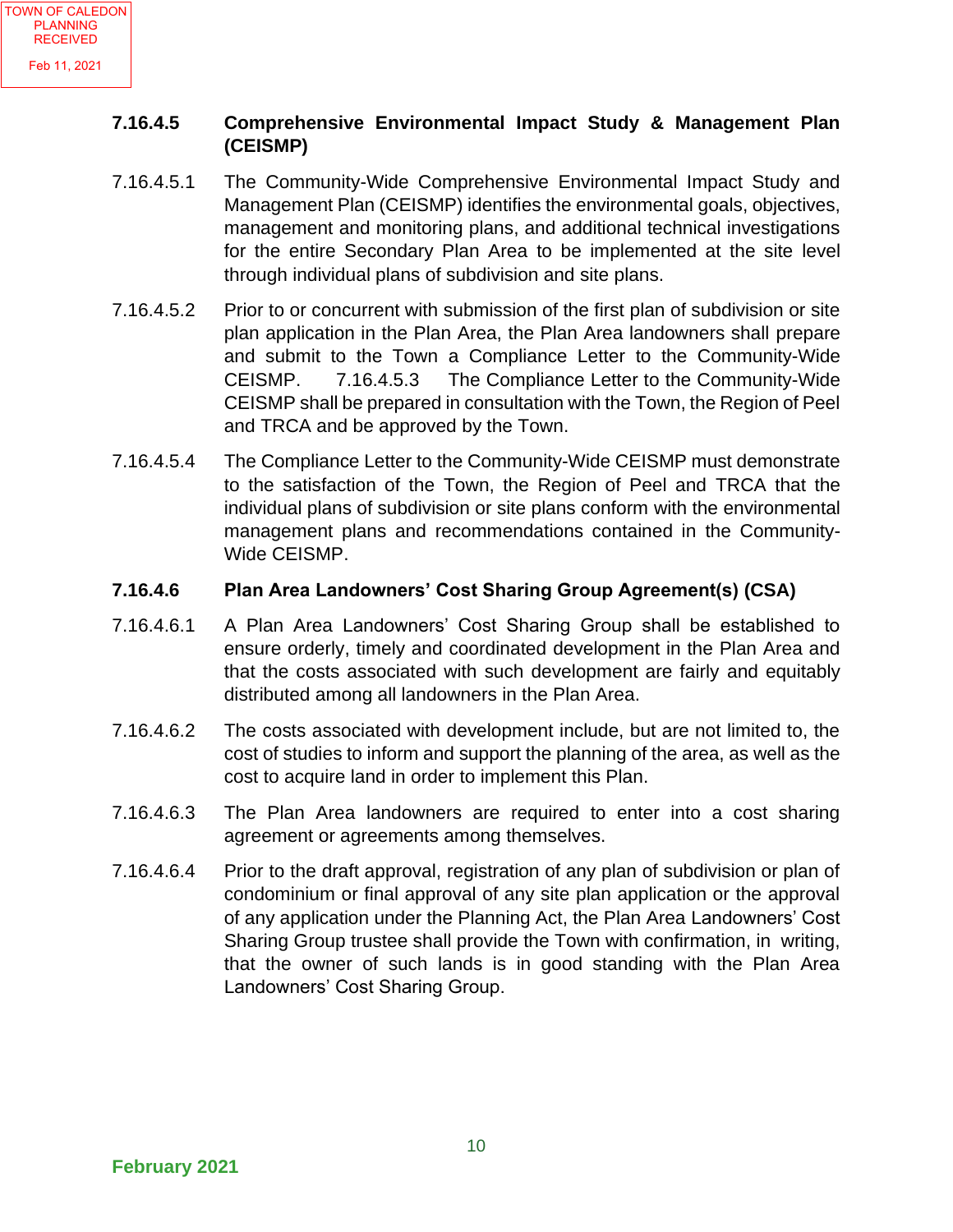#### **7.16.4.5 Comprehensive Environmental Impact Study & Management Plan (CEISMP)**

- 7.16.4.5.1 The Community-Wide Comprehensive Environmental Impact Study and Management Plan (CEISMP) identifies the environmental goals, objectives, management and monitoring plans, and additional technical investigations for the entire Secondary Plan Area to be implemented at the site level through individual plans of subdivision and site plans.
- 7.16.4.5.2 Prior to or concurrent with submission of the first plan of subdivision or site plan application in the Plan Area, the Plan Area landowners shall prepare and submit to the Town a Compliance Letter to the Community-Wide CEISMP. 7.16.4.5.3 The Compliance Letter to the Community-Wide CEISMP shall be prepared in consultation with the Town, the Region of Peel and TRCA and be approved by the Town.
- 7.16.4.5.4 The Compliance Letter to the Community-Wide CEISMP must demonstrate to the satisfaction of the Town, the Region of Peel and TRCA that the individual plans of subdivision or site plans conform with the environmental management plans and recommendations contained in the Community-Wide CEISMP.

#### **7.16.4.6 Plan Area Landowners' Cost Sharing Group Agreement(s) (CSA)**

- 7.16.4.6.1 A Plan Area Landowners' Cost Sharing Group shall be established to ensure orderly, timely and coordinated development in the Plan Area and that the costs associated with such development are fairly and equitably distributed among all landowners in the Plan Area.
- 7.16.4.6.2 The costs associated with development include, but are not limited to, the cost of studies to inform and support the planning of the area, as well as the cost to acquire land in order to implement this Plan.
- 7.16.4.6.3 The Plan Area landowners are required to enter into a cost sharing agreement or agreements among themselves.
- 7.16.4.6.4 Prior to the draft approval, registration of any plan of subdivision or plan of condominium or final approval of any site plan application or the approval of any application under the Planning Act, the Plan Area Landowners' Cost Sharing Group trustee shall provide the Town with confirmation, in writing, that the owner of such lands is in good standing with the Plan Area Landowners' Cost Sharing Group.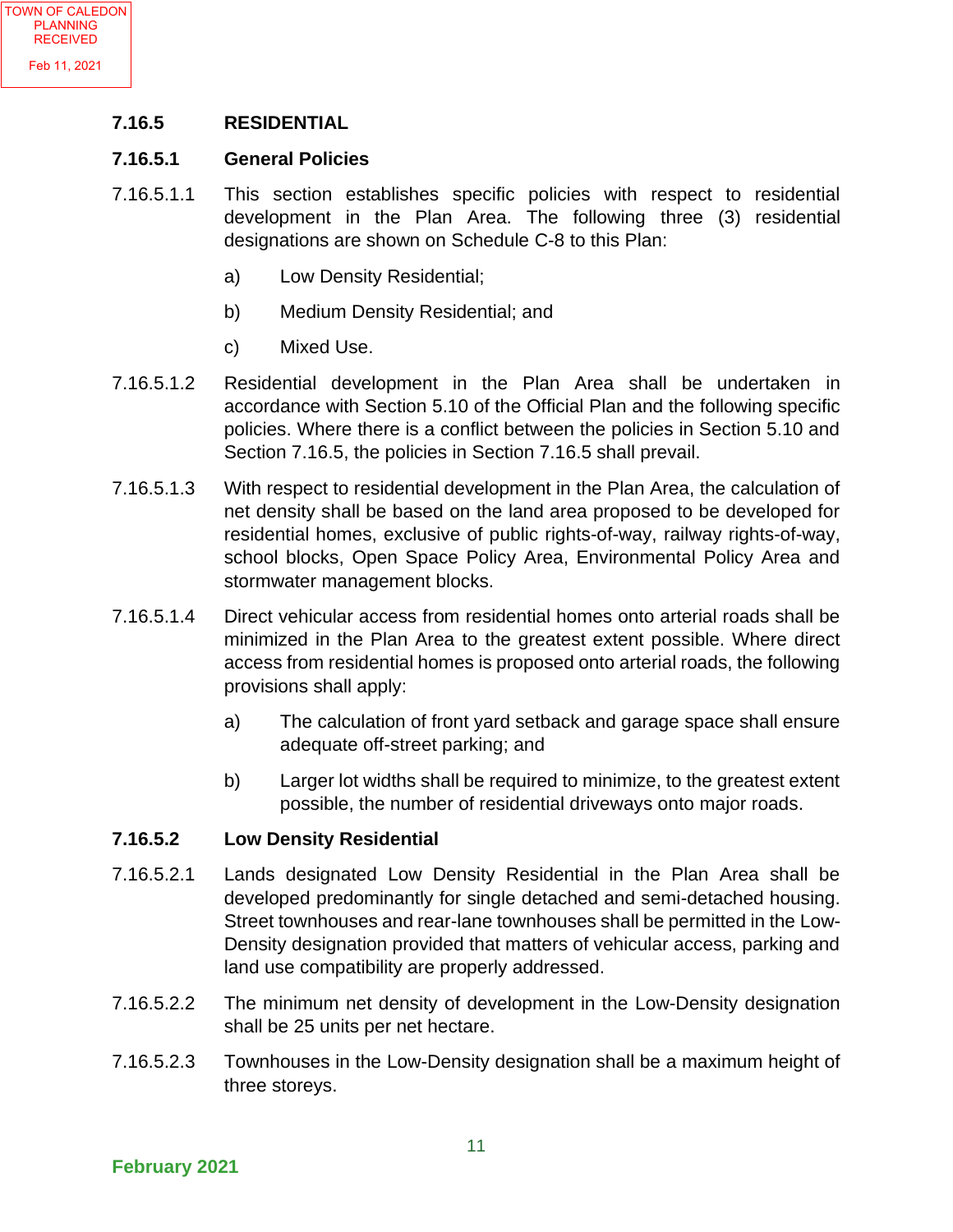#### **7.16.5 RESIDENTIAL**

#### **7.16.5.1 General Policies**

- 7.16.5.1.1 This section establishes specific policies with respect to residential development in the Plan Area. The following three (3) residential designations are shown on Schedule C-8 to this Plan:
	- a) Low Density Residential;
	- b) Medium Density Residential; and
	- c) Mixed Use.
- 7.16.5.1.2 Residential development in the Plan Area shall be undertaken in accordance with Section 5.10 of the Official Plan and the following specific policies. Where there is a conflict between the policies in Section 5.10 and Section 7.16.5, the policies in Section 7.16.5 shall prevail.
- 7.16.5.1.3 With respect to residential development in the Plan Area, the calculation of net density shall be based on the land area proposed to be developed for residential homes, exclusive of public rights-of-way, railway rights-of-way, school blocks, Open Space Policy Area, Environmental Policy Area and stormwater management blocks.
- 7.16.5.1.4 Direct vehicular access from residential homes onto arterial roads shall be minimized in the Plan Area to the greatest extent possible. Where direct access from residential homes is proposed onto arterial roads, the following provisions shall apply:
	- a) The calculation of front yard setback and garage space shall ensure adequate off-street parking; and
	- b) Larger lot widths shall be required to minimize, to the greatest extent possible, the number of residential driveways onto major roads.

#### **7.16.5.2 Low Density Residential**

- 7.16.5.2.1 Lands designated Low Density Residential in the Plan Area shall be developed predominantly for single detached and semi-detached housing. Street townhouses and rear-lane townhouses shall be permitted in the Low-Density designation provided that matters of vehicular access, parking and land use compatibility are properly addressed.
- 7.16.5.2.2 The minimum net density of development in the Low-Density designation shall be 25 units per net hectare.
- 7.16.5.2.3 Townhouses in the Low-Density designation shall be a maximum height of three storeys.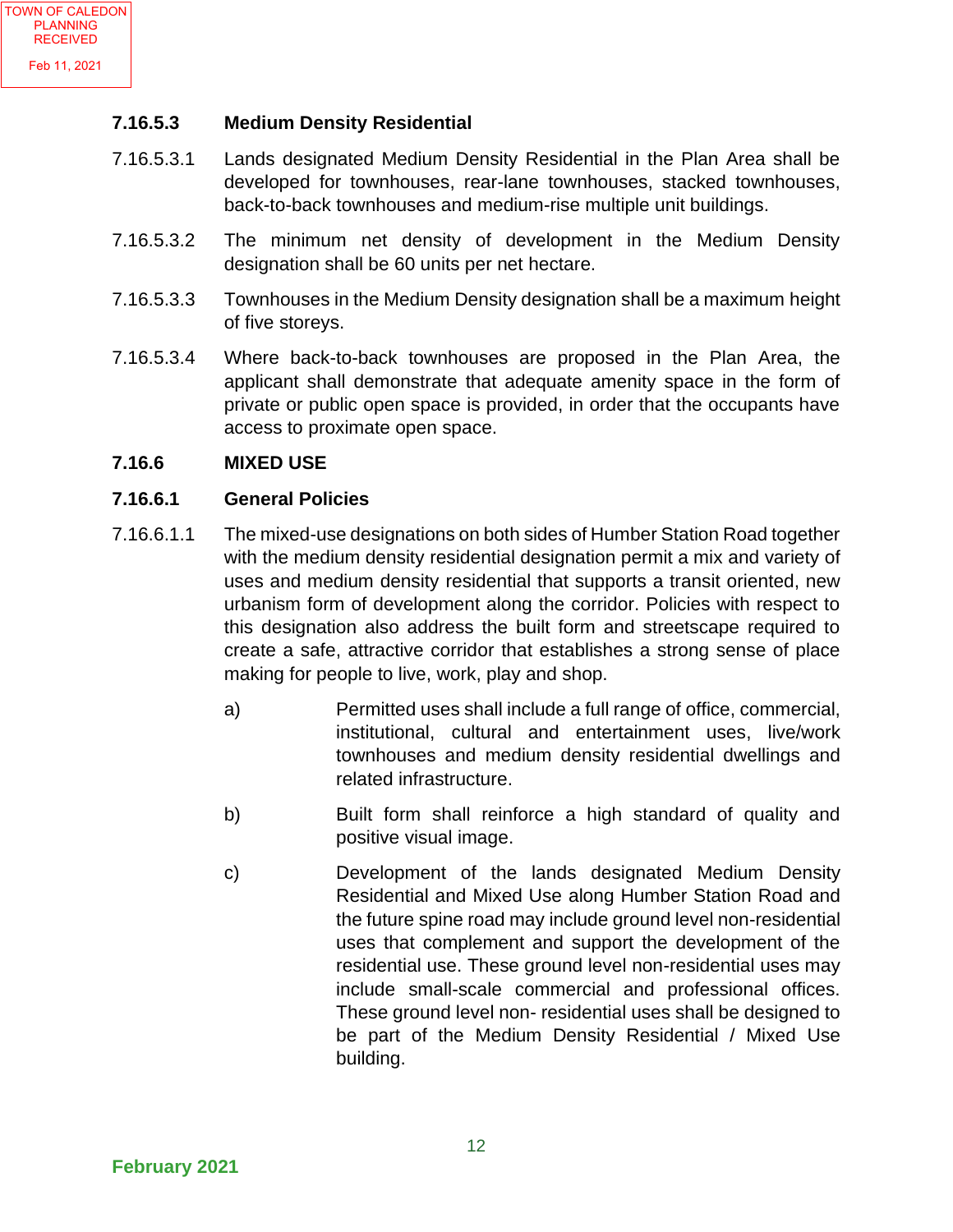#### **7.16.5.3 Medium Density Residential**

- 7.16.5.3.1 Lands designated Medium Density Residential in the Plan Area shall be developed for townhouses, rear-lane townhouses, stacked townhouses, back-to-back townhouses and medium-rise multiple unit buildings.
- 7.16.5.3.2 The minimum net density of development in the Medium Density designation shall be 60 units per net hectare.
- 7.16.5.3.3 Townhouses in the Medium Density designation shall be a maximum height of five storeys.
- 7.16.5.3.4 Where back-to-back townhouses are proposed in the Plan Area, the applicant shall demonstrate that adequate amenity space in the form of private or public open space is provided, in order that the occupants have access to proximate open space.

#### **7.16.6 MIXED USE**

#### **7.16.6.1 General Policies**

- 7.16.6.1.1 The mixed-use designations on both sides of Humber Station Road together with the medium density residential designation permit a mix and variety of uses and medium density residential that supports a transit oriented, new urbanism form of development along the corridor. Policies with respect to this designation also address the built form and streetscape required to create a safe, attractive corridor that establishes a strong sense of place making for people to live, work, play and shop.
	- a) Permitted uses shall include a full range of office, commercial, institutional, cultural and entertainment uses, live/work townhouses and medium density residential dwellings and related infrastructure.
	- b) Built form shall reinforce a high standard of quality and positive visual image.
	- c) Development of the lands designated Medium Density Residential and Mixed Use along Humber Station Road and the future spine road may include ground level non-residential uses that complement and support the development of the residential use. These ground level non-residential uses may include small-scale commercial and professional offices. These ground level non- residential uses shall be designed to be part of the Medium Density Residential / Mixed Use building.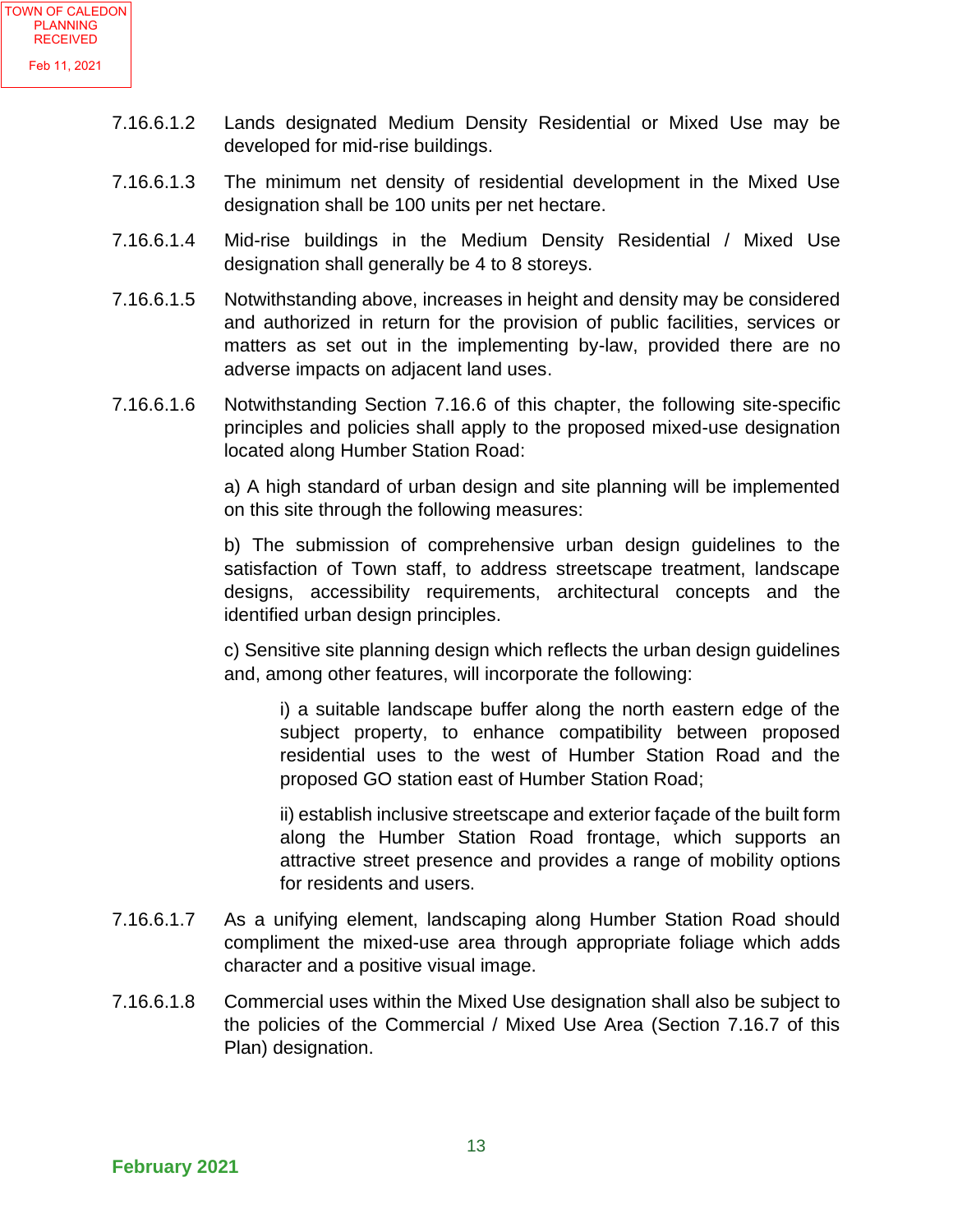- 7.16.6.1.2 Lands designated Medium Density Residential or Mixed Use may be developed for mid-rise buildings.
- 7.16.6.1.3 The minimum net density of residential development in the Mixed Use designation shall be 100 units per net hectare.
- 7.16.6.1.4 Mid-rise buildings in the Medium Density Residential / Mixed Use designation shall generally be 4 to 8 storeys.
- 7.16.6.1.5 Notwithstanding above, increases in height and density may be considered and authorized in return for the provision of public facilities, services or matters as set out in the implementing by-law, provided there are no adverse impacts on adjacent land uses.
- 7.16.6.1.6 Notwithstanding Section 7.16.6 of this chapter, the following site-specific principles and policies shall apply to the proposed mixed-use designation located along Humber Station Road:

a) A high standard of urban design and site planning will be implemented on this site through the following measures:

b) The submission of comprehensive urban design guidelines to the satisfaction of Town staff, to address streetscape treatment, landscape designs, accessibility requirements, architectural concepts and the identified urban design principles.

c) Sensitive site planning design which reflects the urban design guidelines and, among other features, will incorporate the following:

i) a suitable landscape buffer along the north eastern edge of the subject property, to enhance compatibility between proposed residential uses to the west of Humber Station Road and the proposed GO station east of Humber Station Road;

ii) establish inclusive streetscape and exterior façade of the built form along the Humber Station Road frontage, which supports an attractive street presence and provides a range of mobility options for residents and users.

- 7.16.6.1.7 As a unifying element, landscaping along Humber Station Road should compliment the mixed-use area through appropriate foliage which adds character and a positive visual image.
- 7.16.6.1.8 Commercial uses within the Mixed Use designation shall also be subject to the policies of the Commercial / Mixed Use Area (Section 7.16.7 of this Plan) designation.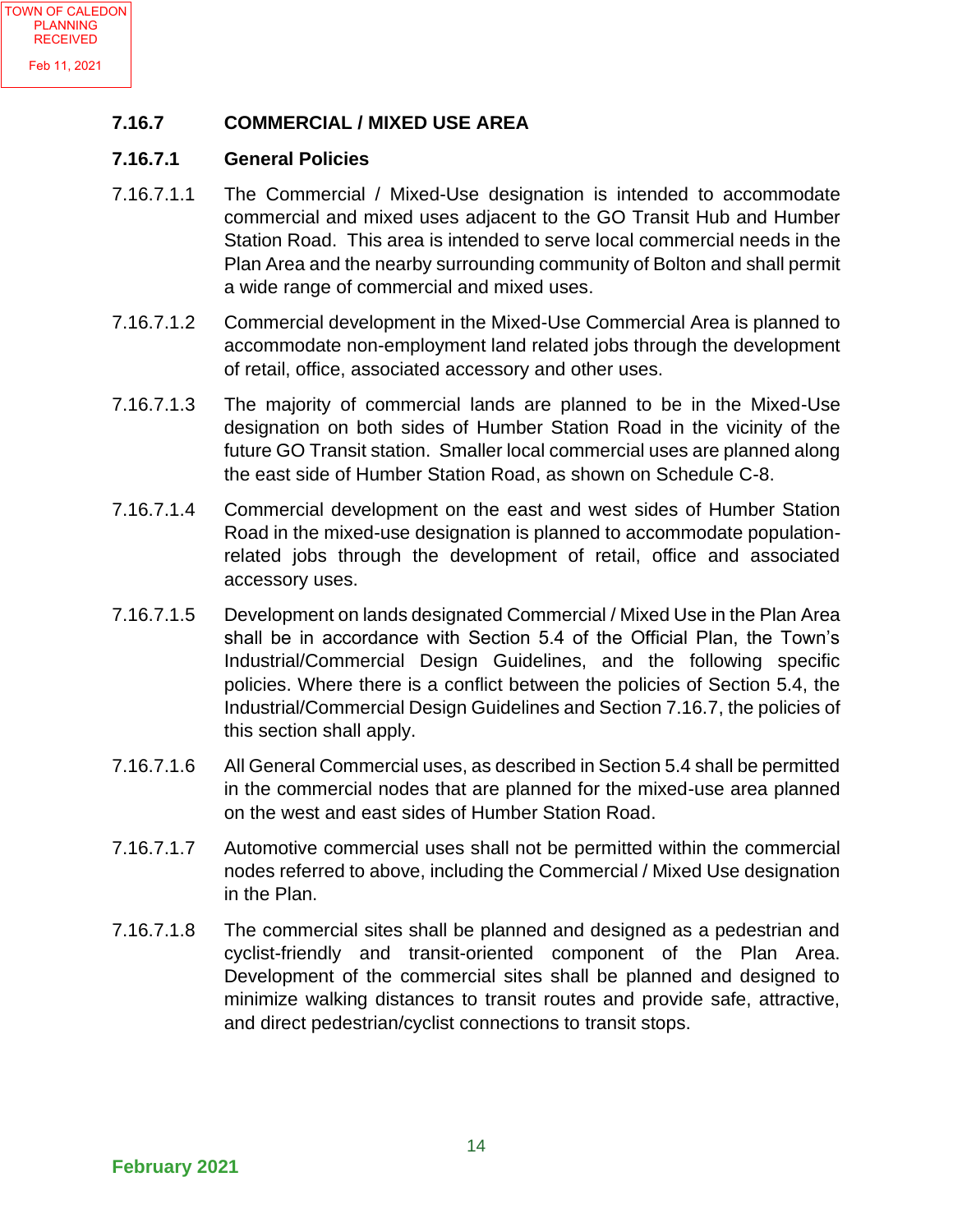#### **7.16.7 COMMERCIAL / MIXED USE AREA**

#### **7.16.7.1 General Policies**

- 7.16.7.1.1 The Commercial / Mixed-Use designation is intended to accommodate commercial and mixed uses adjacent to the GO Transit Hub and Humber Station Road. This area is intended to serve local commercial needs in the Plan Area and the nearby surrounding community of Bolton and shall permit a wide range of commercial and mixed uses.
- 7.16.7.1.2 Commercial development in the Mixed-Use Commercial Area is planned to accommodate non-employment land related jobs through the development of retail, office, associated accessory and other uses.
- 7.16.7.1.3 The majority of commercial lands are planned to be in the Mixed-Use designation on both sides of Humber Station Road in the vicinity of the future GO Transit station. Smaller local commercial uses are planned along the east side of Humber Station Road, as shown on Schedule C-8.
- 7.16.7.1.4 Commercial development on the east and west sides of Humber Station Road in the mixed-use designation is planned to accommodate populationrelated jobs through the development of retail, office and associated accessory uses.
- 7.16.7.1.5 Development on lands designated Commercial / Mixed Use in the Plan Area shall be in accordance with Section 5.4 of the Official Plan, the Town's Industrial/Commercial Design Guidelines, and the following specific policies. Where there is a conflict between the policies of Section 5.4, the Industrial/Commercial Design Guidelines and Section 7.16.7, the policies of this section shall apply.
- 7.16.7.1.6 All General Commercial uses, as described in Section 5.4 shall be permitted in the commercial nodes that are planned for the mixed-use area planned on the west and east sides of Humber Station Road.
- 7.16.7.1.7 Automotive commercial uses shall not be permitted within the commercial nodes referred to above, including the Commercial / Mixed Use designation in the Plan.
- 7.16.7.1.8 The commercial sites shall be planned and designed as a pedestrian and cyclist-friendly and transit-oriented component of the Plan Area. Development of the commercial sites shall be planned and designed to minimize walking distances to transit routes and provide safe, attractive, and direct pedestrian/cyclist connections to transit stops.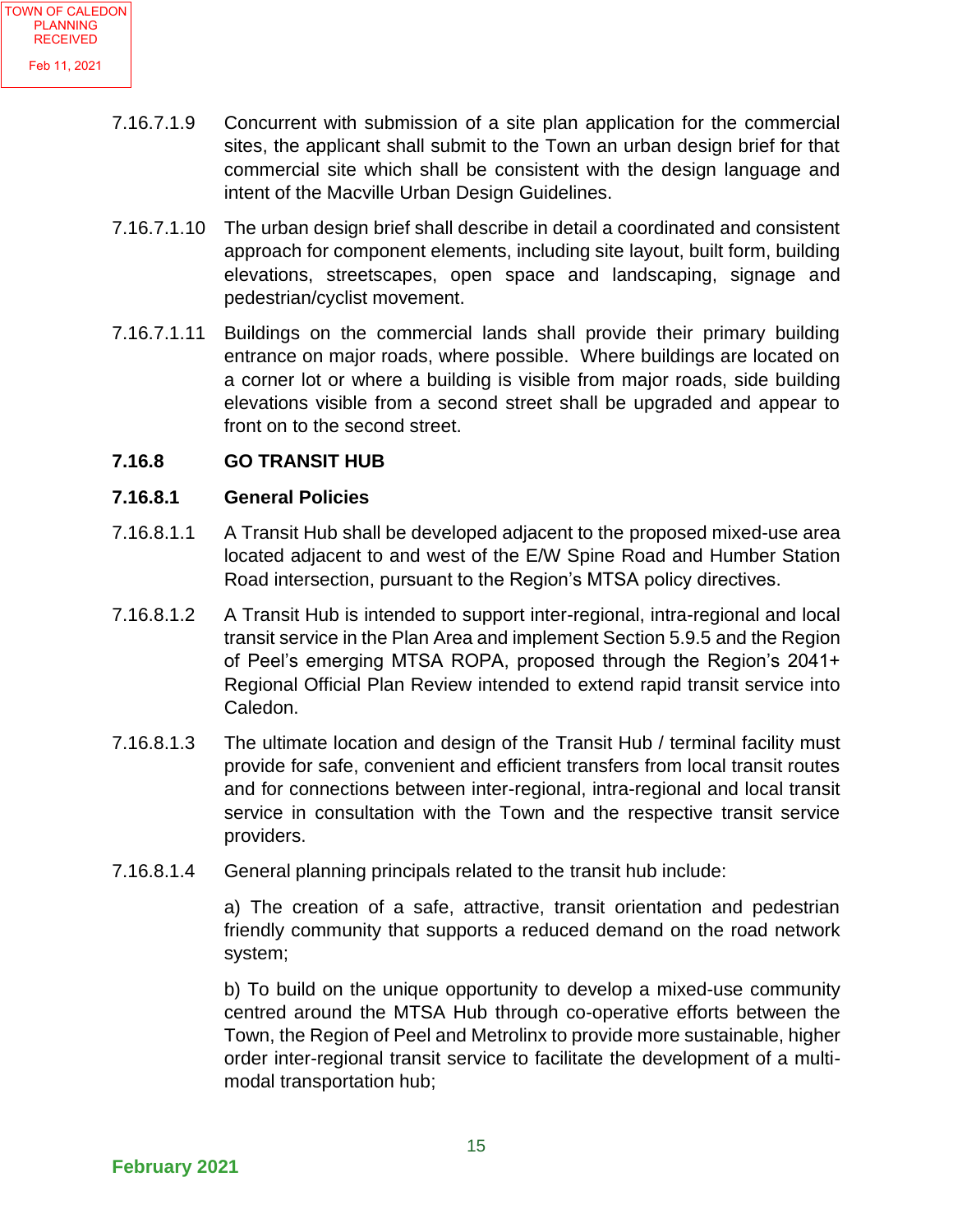- 7.16.7.1.9 Concurrent with submission of a site plan application for the commercial sites, the applicant shall submit to the Town an urban design brief for that commercial site which shall be consistent with the design language and intent of the Macville Urban Design Guidelines.
- 7.16.7.1.10 The urban design brief shall describe in detail a coordinated and consistent approach for component elements, including site layout, built form, building elevations, streetscapes, open space and landscaping, signage and pedestrian/cyclist movement.
- 7.16.7.1.11 Buildings on the commercial lands shall provide their primary building entrance on major roads, where possible. Where buildings are located on a corner lot or where a building is visible from major roads, side building elevations visible from a second street shall be upgraded and appear to front on to the second street.

#### **7.16.8 GO TRANSIT HUB**

#### **7.16.8.1 General Policies**

- 7.16.8.1.1 A Transit Hub shall be developed adjacent to the proposed mixed-use area located adjacent to and west of the E/W Spine Road and Humber Station Road intersection, pursuant to the Region's MTSA policy directives.
- 7.16.8.1.2 A Transit Hub is intended to support inter-regional, intra-regional and local transit service in the Plan Area and implement Section 5.9.5 and the Region of Peel's emerging MTSA ROPA, proposed through the Region's 2041+ Regional Official Plan Review intended to extend rapid transit service into Caledon.
- 7.16.8.1.3 The ultimate location and design of the Transit Hub / terminal facility must provide for safe, convenient and efficient transfers from local transit routes and for connections between inter-regional, intra-regional and local transit service in consultation with the Town and the respective transit service providers.
- 7.16.8.1.4 General planning principals related to the transit hub include:

a) The creation of a safe, attractive, transit orientation and pedestrian friendly community that supports a reduced demand on the road network system;

b) To build on the unique opportunity to develop a mixed-use community centred around the MTSA Hub through co-operative efforts between the Town, the Region of Peel and Metrolinx to provide more sustainable, higher order inter-regional transit service to facilitate the development of a multimodal transportation hub;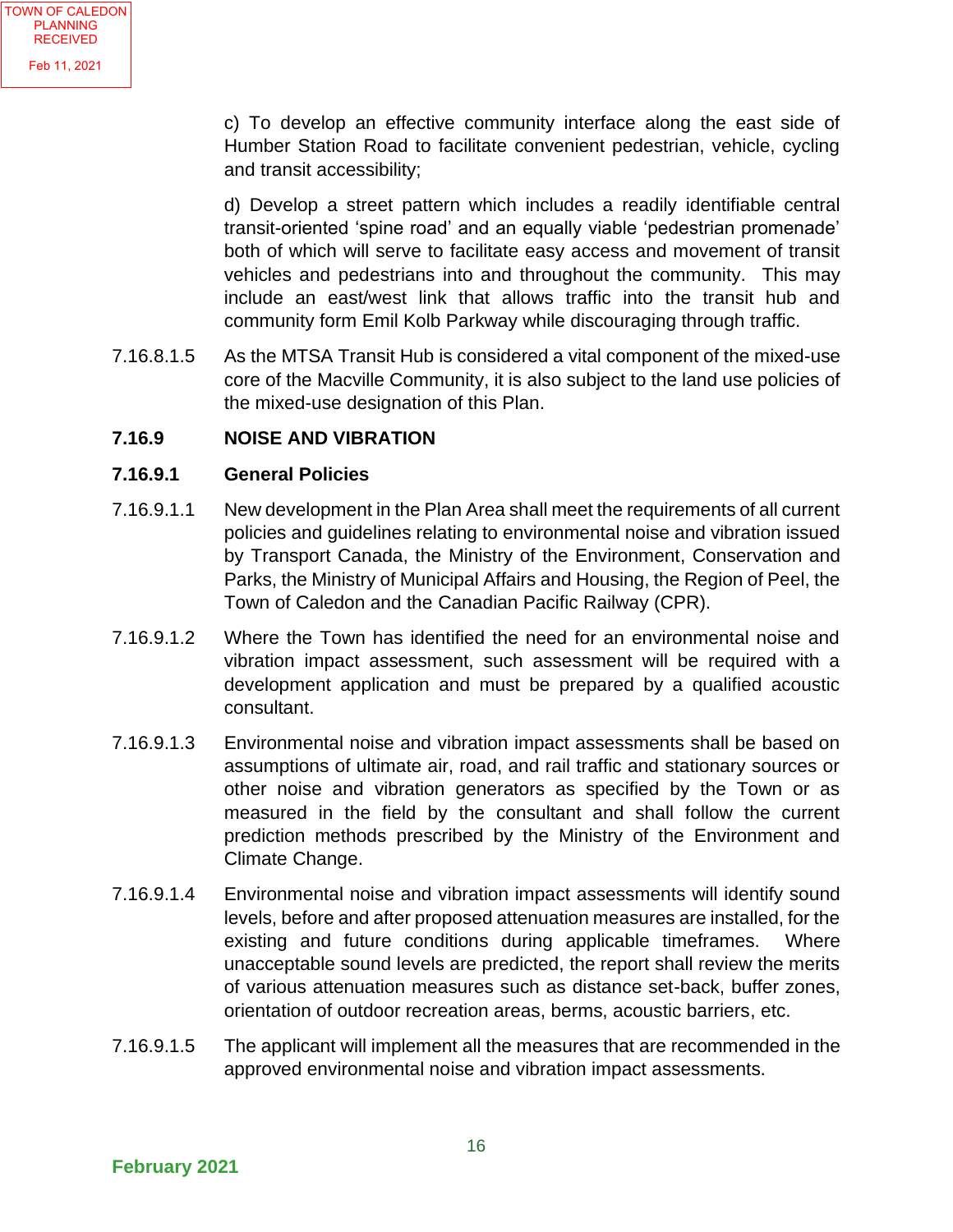c) To develop an effective community interface along the east side of Humber Station Road to facilitate convenient pedestrian, vehicle, cycling and transit accessibility;

d) Develop a street pattern which includes a readily identifiable central transit-oriented 'spine road' and an equally viable 'pedestrian promenade' both of which will serve to facilitate easy access and movement of transit vehicles and pedestrians into and throughout the community. This may include an east/west link that allows traffic into the transit hub and community form Emil Kolb Parkway while discouraging through traffic.

7.16.8.1.5 As the MTSA Transit Hub is considered a vital component of the mixed-use core of the Macville Community, it is also subject to the land use policies of the mixed-use designation of this Plan.

#### **7.16.9 NOISE AND VIBRATION**

#### **7.16.9.1 General Policies**

- 7.16.9.1.1 New development in the Plan Area shall meet the requirements of all current policies and guidelines relating to environmental noise and vibration issued by Transport Canada, the Ministry of the Environment, Conservation and Parks, the Ministry of Municipal Affairs and Housing, the Region of Peel, the Town of Caledon and the Canadian Pacific Railway (CPR).
- 7.16.9.1.2 Where the Town has identified the need for an environmental noise and vibration impact assessment, such assessment will be required with a development application and must be prepared by a qualified acoustic consultant.
- 7.16.9.1.3 Environmental noise and vibration impact assessments shall be based on assumptions of ultimate air, road, and rail traffic and stationary sources or other noise and vibration generators as specified by the Town or as measured in the field by the consultant and shall follow the current prediction methods prescribed by the Ministry of the Environment and Climate Change.
- 7.16.9.1.4 Environmental noise and vibration impact assessments will identify sound levels, before and after proposed attenuation measures are installed, for the existing and future conditions during applicable timeframes. Where unacceptable sound levels are predicted, the report shall review the merits of various attenuation measures such as distance set-back, buffer zones, orientation of outdoor recreation areas, berms, acoustic barriers, etc.
- 7.16.9.1.5 The applicant will implement all the measures that are recommended in the approved environmental noise and vibration impact assessments.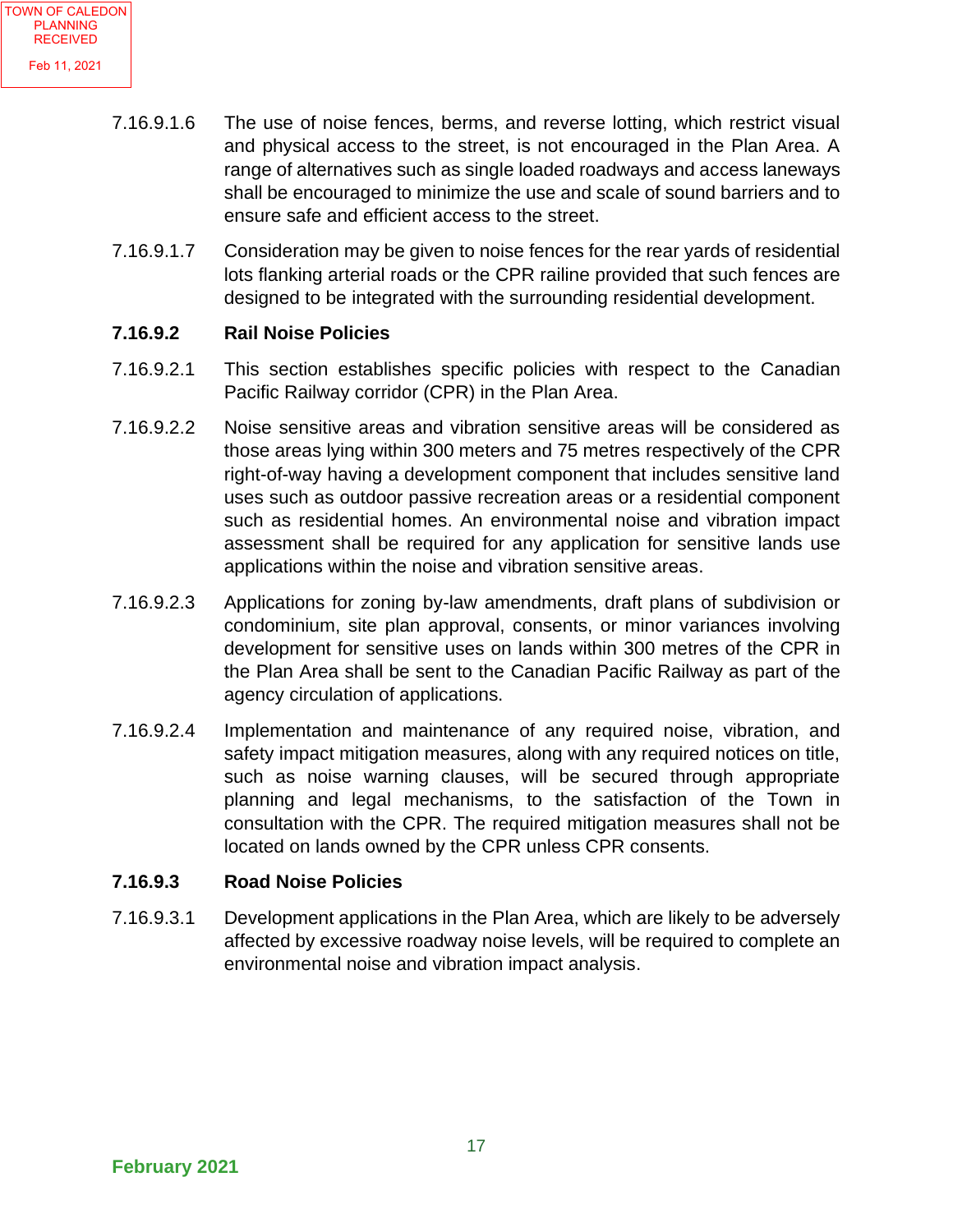- 7.16.9.1.6 The use of noise fences, berms, and reverse lotting, which restrict visual and physical access to the street, is not encouraged in the Plan Area. A range of alternatives such as single loaded roadways and access laneways shall be encouraged to minimize the use and scale of sound barriers and to ensure safe and efficient access to the street.
- 7.16.9.1.7 Consideration may be given to noise fences for the rear yards of residential lots flanking arterial roads or the CPR railine provided that such fences are designed to be integrated with the surrounding residential development.

#### **7.16.9.2 Rail Noise Policies**

- 7.16.9.2.1 This section establishes specific policies with respect to the Canadian Pacific Railway corridor (CPR) in the Plan Area.
- 7.16.9.2.2 Noise sensitive areas and vibration sensitive areas will be considered as those areas lying within 300 meters and 75 metres respectively of the CPR right-of-way having a development component that includes sensitive land uses such as outdoor passive recreation areas or a residential component such as residential homes. An environmental noise and vibration impact assessment shall be required for any application for sensitive lands use applications within the noise and vibration sensitive areas.
- 7.16.9.2.3 Applications for zoning by-law amendments, draft plans of subdivision or condominium, site plan approval, consents, or minor variances involving development for sensitive uses on lands within 300 metres of the CPR in the Plan Area shall be sent to the Canadian Pacific Railway as part of the agency circulation of applications.
- 7.16.9.2.4 Implementation and maintenance of any required noise, vibration, and safety impact mitigation measures, along with any required notices on title, such as noise warning clauses, will be secured through appropriate planning and legal mechanisms, to the satisfaction of the Town in consultation with the CPR. The required mitigation measures shall not be located on lands owned by the CPR unless CPR consents.

#### **7.16.9.3 Road Noise Policies**

7.16.9.3.1 Development applications in the Plan Area, which are likely to be adversely affected by excessive roadway noise levels, will be required to complete an environmental noise and vibration impact analysis.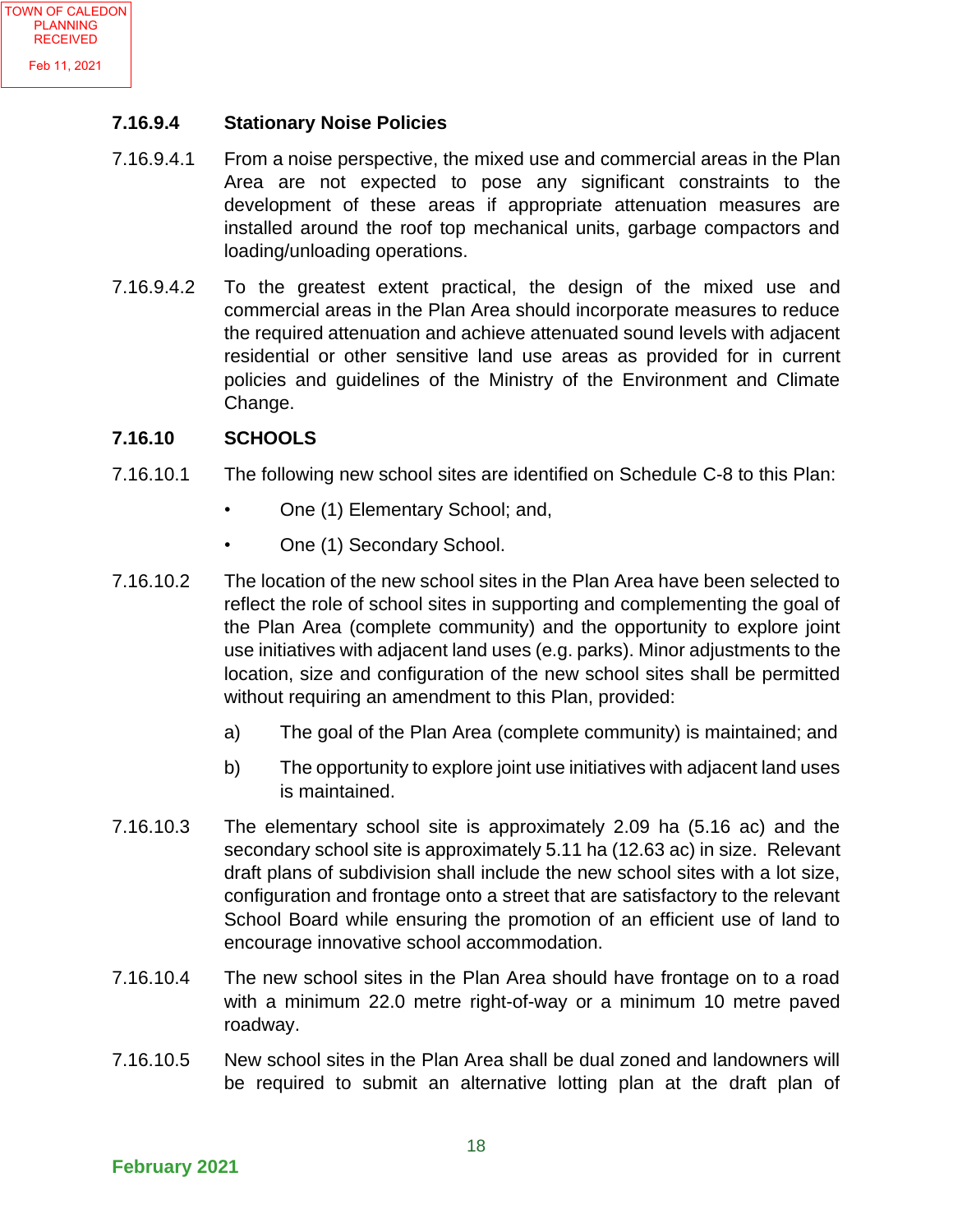#### **7.16.9.4 Stationary Noise Policies**

- 7.16.9.4.1 From a noise perspective, the mixed use and commercial areas in the Plan Area are not expected to pose any significant constraints to the development of these areas if appropriate attenuation measures are installed around the roof top mechanical units, garbage compactors and loading/unloading operations.
- 7.16.9.4.2 To the greatest extent practical, the design of the mixed use and commercial areas in the Plan Area should incorporate measures to reduce the required attenuation and achieve attenuated sound levels with adjacent residential or other sensitive land use areas as provided for in current policies and guidelines of the Ministry of the Environment and Climate Change.

#### **7.16.10 SCHOOLS**

- 7.16.10.1 The following new school sites are identified on Schedule C-8 to this Plan:
	- One (1) Elementary School; and,
	- One (1) Secondary School.
- 7.16.10.2 The location of the new school sites in the Plan Area have been selected to reflect the role of school sites in supporting and complementing the goal of the Plan Area (complete community) and the opportunity to explore joint use initiatives with adjacent land uses (e.g. parks). Minor adjustments to the location, size and configuration of the new school sites shall be permitted without requiring an amendment to this Plan, provided:
	- a) The goal of the Plan Area (complete community) is maintained; and
	- b) The opportunity to explore joint use initiatives with adjacent land uses is maintained.
- 7.16.10.3 The elementary school site is approximately 2.09 ha (5.16 ac) and the secondary school site is approximately 5.11 ha (12.63 ac) in size. Relevant draft plans of subdivision shall include the new school sites with a lot size, configuration and frontage onto a street that are satisfactory to the relevant School Board while ensuring the promotion of an efficient use of land to encourage innovative school accommodation.
- 7.16.10.4 The new school sites in the Plan Area should have frontage on to a road with a minimum 22.0 metre right-of-way or a minimum 10 metre paved roadway.
- 7.16.10.5 New school sites in the Plan Area shall be dual zoned and landowners will be required to submit an alternative lotting plan at the draft plan of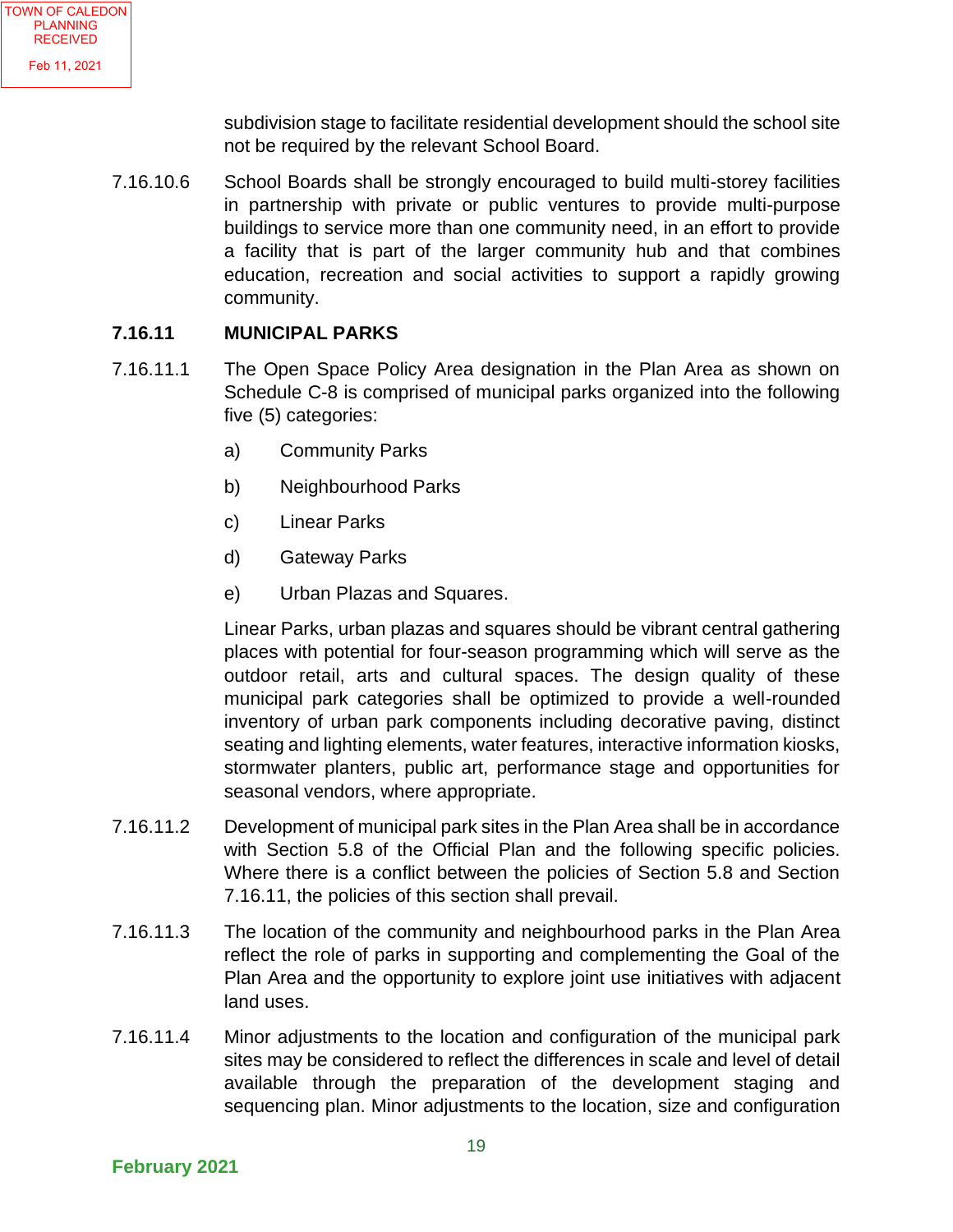subdivision stage to facilitate residential development should the school site not be required by the relevant School Board.

7.16.10.6 School Boards shall be strongly encouraged to build multi-storey facilities in partnership with private or public ventures to provide multi-purpose buildings to service more than one community need, in an effort to provide a facility that is part of the larger community hub and that combines education, recreation and social activities to support a rapidly growing community.

#### **7.16.11 MUNICIPAL PARKS**

- 7.16.11.1 The Open Space Policy Area designation in the Plan Area as shown on Schedule C-8 is comprised of municipal parks organized into the following five (5) categories:
	- a) Community Parks
	- b) Neighbourhood Parks
	- c) Linear Parks
	- d) Gateway Parks
	- e) Urban Plazas and Squares.

Linear Parks, urban plazas and squares should be vibrant central gathering places with potential for four-season programming which will serve as the outdoor retail, arts and cultural spaces. The design quality of these municipal park categories shall be optimized to provide a well-rounded inventory of urban park components including decorative paving, distinct seating and lighting elements, water features, interactive information kiosks, stormwater planters, public art, performance stage and opportunities for seasonal vendors, where appropriate.

- 7.16.11.2 Development of municipal park sites in the Plan Area shall be in accordance with Section 5.8 of the Official Plan and the following specific policies. Where there is a conflict between the policies of Section 5.8 and Section 7.16.11, the policies of this section shall prevail.
- 7.16.11.3 The location of the community and neighbourhood parks in the Plan Area reflect the role of parks in supporting and complementing the Goal of the Plan Area and the opportunity to explore joint use initiatives with adjacent land uses.
- 7.16.11.4 Minor adjustments to the location and configuration of the municipal park sites may be considered to reflect the differences in scale and level of detail available through the preparation of the development staging and sequencing plan. Minor adjustments to the location, size and configuration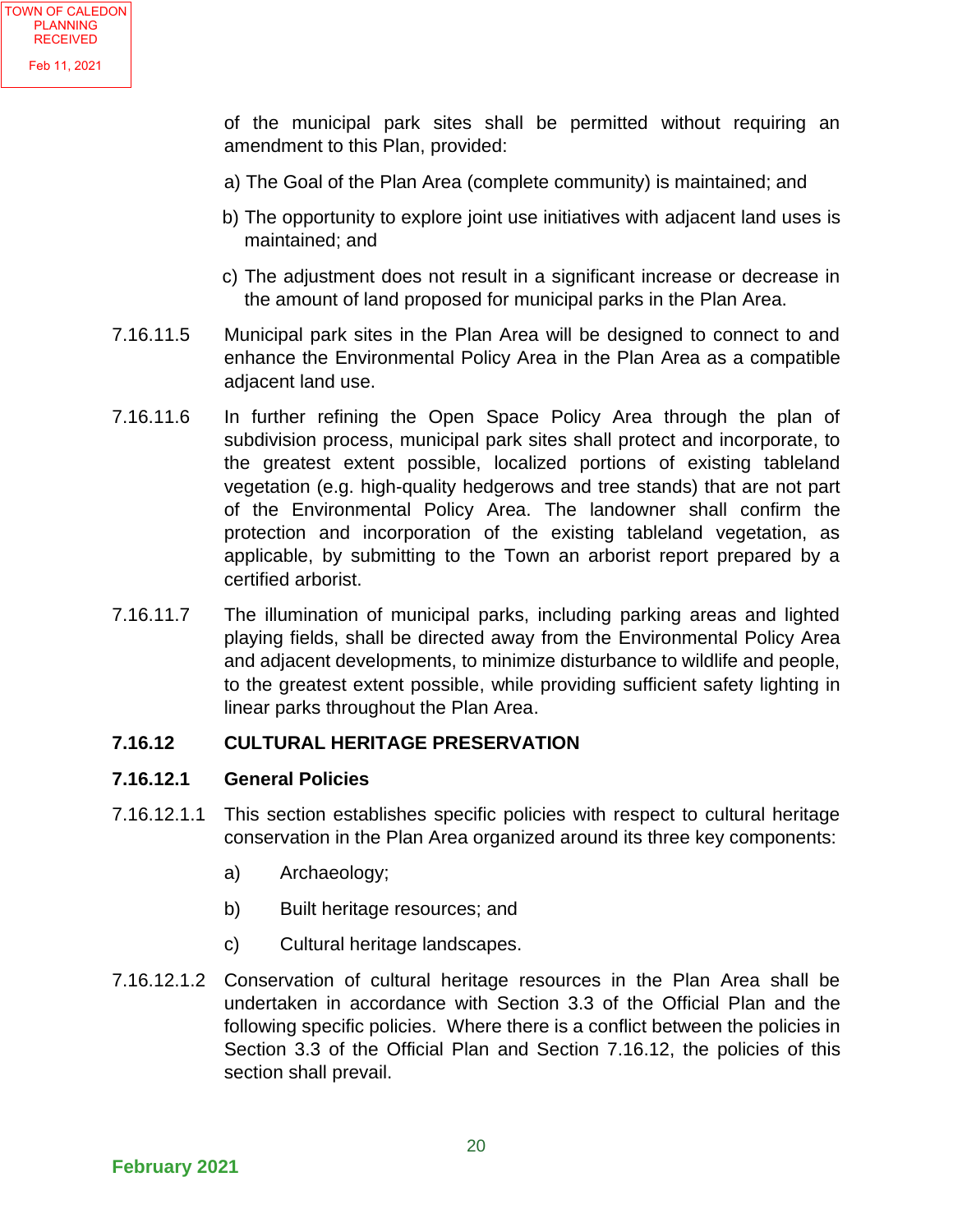of the municipal park sites shall be permitted without requiring an amendment to this Plan, provided:

- a) The Goal of the Plan Area (complete community) is maintained; and
- b) The opportunity to explore joint use initiatives with adjacent land uses is maintained; and
- c) The adjustment does not result in a significant increase or decrease in the amount of land proposed for municipal parks in the Plan Area.
- 7.16.11.5 Municipal park sites in the Plan Area will be designed to connect to and enhance the Environmental Policy Area in the Plan Area as a compatible adjacent land use.
- 7.16.11.6 In further refining the Open Space Policy Area through the plan of subdivision process, municipal park sites shall protect and incorporate, to the greatest extent possible, localized portions of existing tableland vegetation (e.g. high-quality hedgerows and tree stands) that are not part of the Environmental Policy Area. The landowner shall confirm the protection and incorporation of the existing tableland vegetation, as applicable, by submitting to the Town an arborist report prepared by a certified arborist.
- 7.16.11.7 The illumination of municipal parks, including parking areas and lighted playing fields, shall be directed away from the Environmental Policy Area and adjacent developments, to minimize disturbance to wildlife and people, to the greatest extent possible, while providing sufficient safety lighting in linear parks throughout the Plan Area.

#### **7.16.12 CULTURAL HERITAGE PRESERVATION**

#### **7.16.12.1 General Policies**

- 7.16.12.1.1 This section establishes specific policies with respect to cultural heritage conservation in the Plan Area organized around its three key components:
	- a) Archaeology;
	- b) Built heritage resources; and
	- c) Cultural heritage landscapes.
- 7.16.12.1.2 Conservation of cultural heritage resources in the Plan Area shall be undertaken in accordance with Section 3.3 of the Official Plan and the following specific policies. Where there is a conflict between the policies in Section 3.3 of the Official Plan and Section 7.16.12, the policies of this section shall prevail.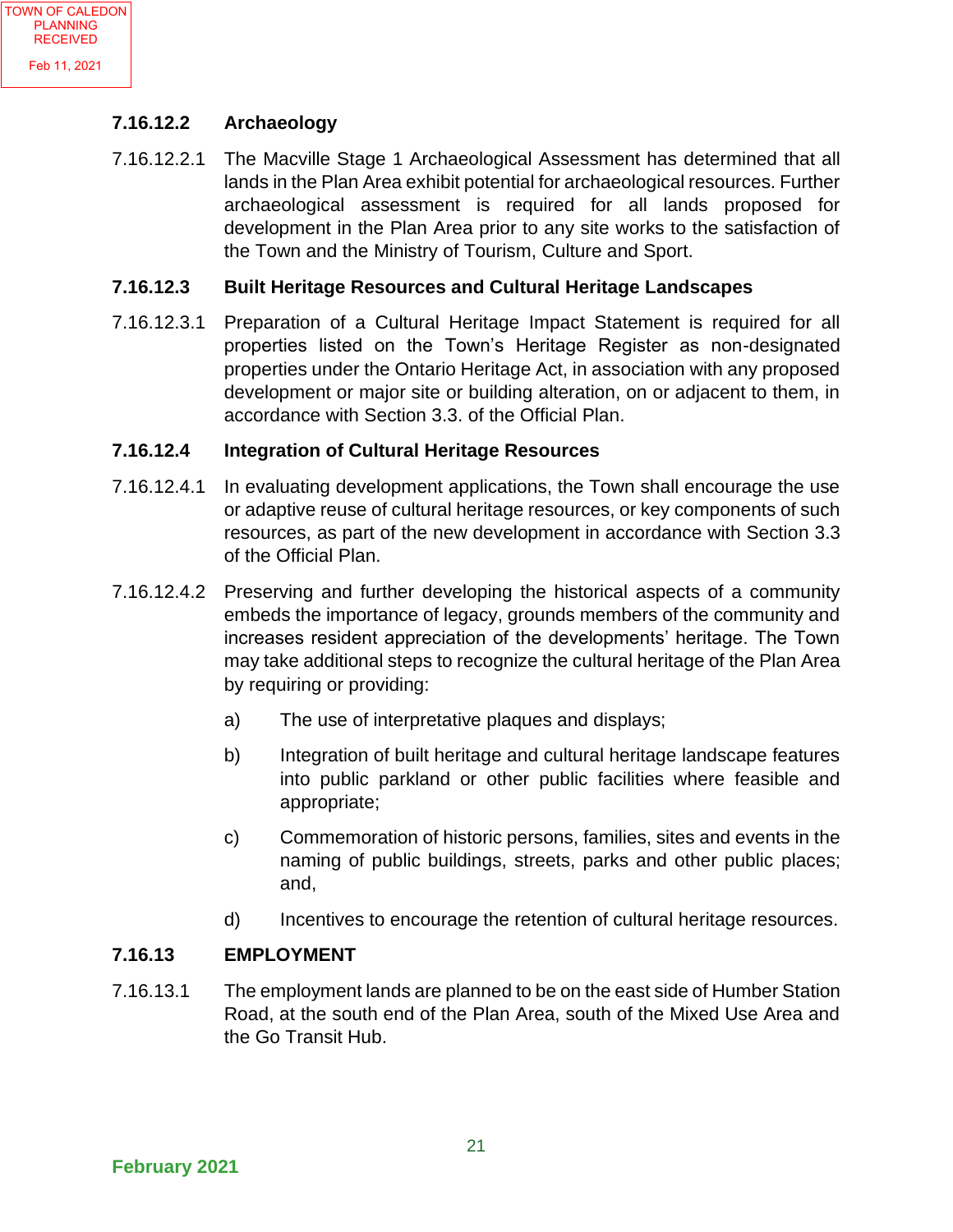#### **7.16.12.2 Archaeology**

7.16.12.2.1 The Macville Stage 1 Archaeological Assessment has determined that all lands in the Plan Area exhibit potential for archaeological resources. Further archaeological assessment is required for all lands proposed for development in the Plan Area prior to any site works to the satisfaction of the Town and the Ministry of Tourism, Culture and Sport.

#### **7.16.12.3 Built Heritage Resources and Cultural Heritage Landscapes**

7.16.12.3.1 Preparation of a Cultural Heritage Impact Statement is required for all properties listed on the Town's Heritage Register as non-designated properties under the Ontario Heritage Act, in association with any proposed development or major site or building alteration, on or adjacent to them, in accordance with Section 3.3. of the Official Plan.

#### **7.16.12.4 Integration of Cultural Heritage Resources**

- 7.16.12.4.1 In evaluating development applications, the Town shall encourage the use or adaptive reuse of cultural heritage resources, or key components of such resources, as part of the new development in accordance with Section 3.3 of the Official Plan.
- 7.16.12.4.2 Preserving and further developing the historical aspects of a community embeds the importance of legacy, grounds members of the community and increases resident appreciation of the developments' heritage. The Town may take additional steps to recognize the cultural heritage of the Plan Area by requiring or providing:
	- a) The use of interpretative plaques and displays;
	- b) Integration of built heritage and cultural heritage landscape features into public parkland or other public facilities where feasible and appropriate;
	- c) Commemoration of historic persons, families, sites and events in the naming of public buildings, streets, parks and other public places; and,
	- d) Incentives to encourage the retention of cultural heritage resources.

#### **7.16.13 EMPLOYMENT**

7.16.13.1 The employment lands are planned to be on the east side of Humber Station Road, at the south end of the Plan Area, south of the Mixed Use Area and the Go Transit Hub.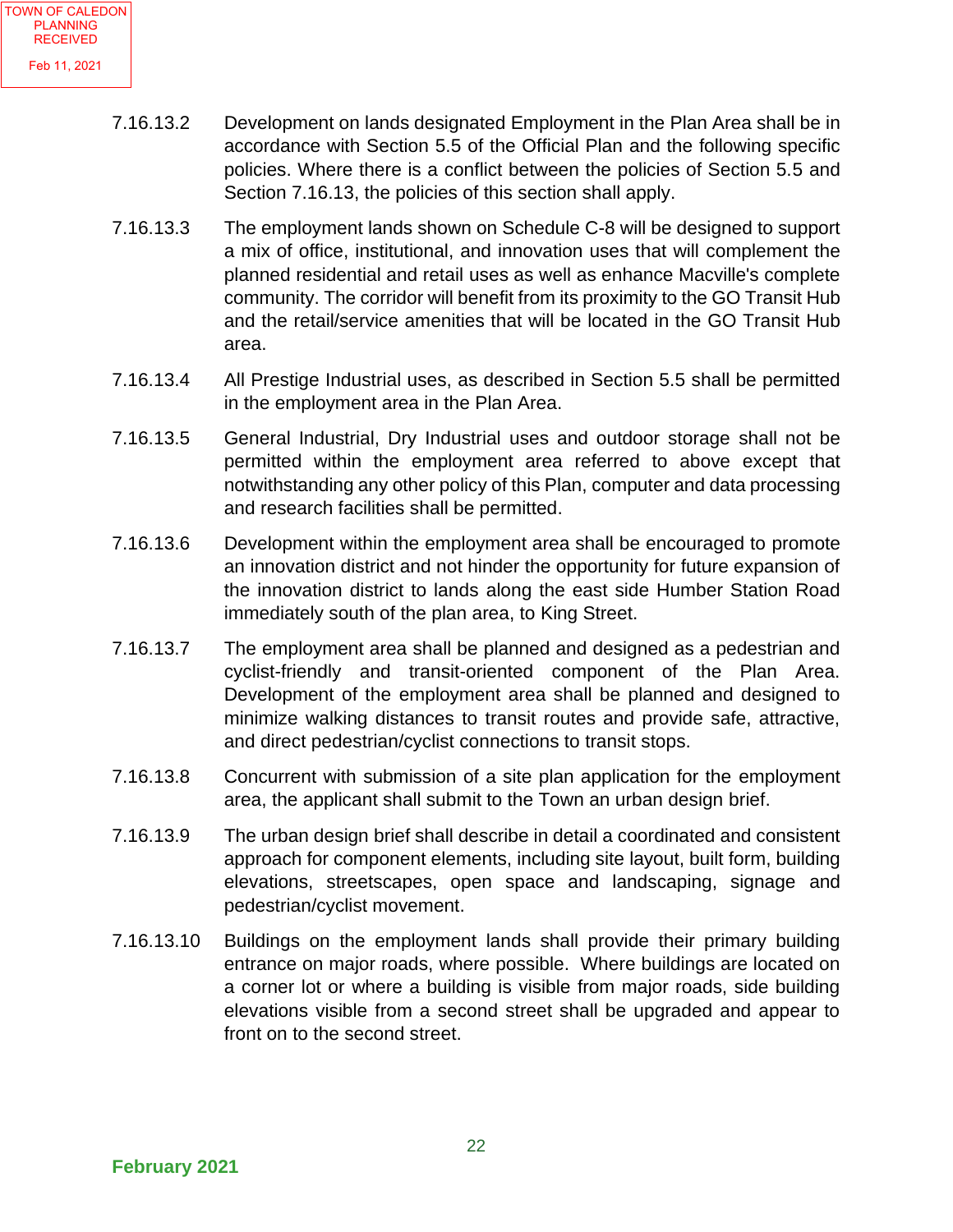- 7.16.13.2 Development on lands designated Employment in the Plan Area shall be in accordance with Section 5.5 of the Official Plan and the following specific policies. Where there is a conflict between the policies of Section 5.5 and Section 7.16.13, the policies of this section shall apply.
- 7.16.13.3 The employment lands shown on Schedule C-8 will be designed to support a mix of office, institutional, and innovation uses that will complement the planned residential and retail uses as well as enhance Macville's complete community. The corridor will benefit from its proximity to the GO Transit Hub and the retail/service amenities that will be located in the GO Transit Hub area.
- 7.16.13.4 All Prestige Industrial uses, as described in Section 5.5 shall be permitted in the employment area in the Plan Area.
- 7.16.13.5 General Industrial, Dry Industrial uses and outdoor storage shall not be permitted within the employment area referred to above except that notwithstanding any other policy of this Plan, computer and data processing and research facilities shall be permitted.
- 7.16.13.6 Development within the employment area shall be encouraged to promote an innovation district and not hinder the opportunity for future expansion of the innovation district to lands along the east side Humber Station Road immediately south of the plan area, to King Street.
- 7.16.13.7 The employment area shall be planned and designed as a pedestrian and cyclist-friendly and transit-oriented component of the Plan Area. Development of the employment area shall be planned and designed to minimize walking distances to transit routes and provide safe, attractive, and direct pedestrian/cyclist connections to transit stops.
- 7.16.13.8 Concurrent with submission of a site plan application for the employment area, the applicant shall submit to the Town an urban design brief.
- 7.16.13.9 The urban design brief shall describe in detail a coordinated and consistent approach for component elements, including site layout, built form, building elevations, streetscapes, open space and landscaping, signage and pedestrian/cyclist movement.
- 7.16.13.10 Buildings on the employment lands shall provide their primary building entrance on major roads, where possible. Where buildings are located on a corner lot or where a building is visible from major roads, side building elevations visible from a second street shall be upgraded and appear to front on to the second street.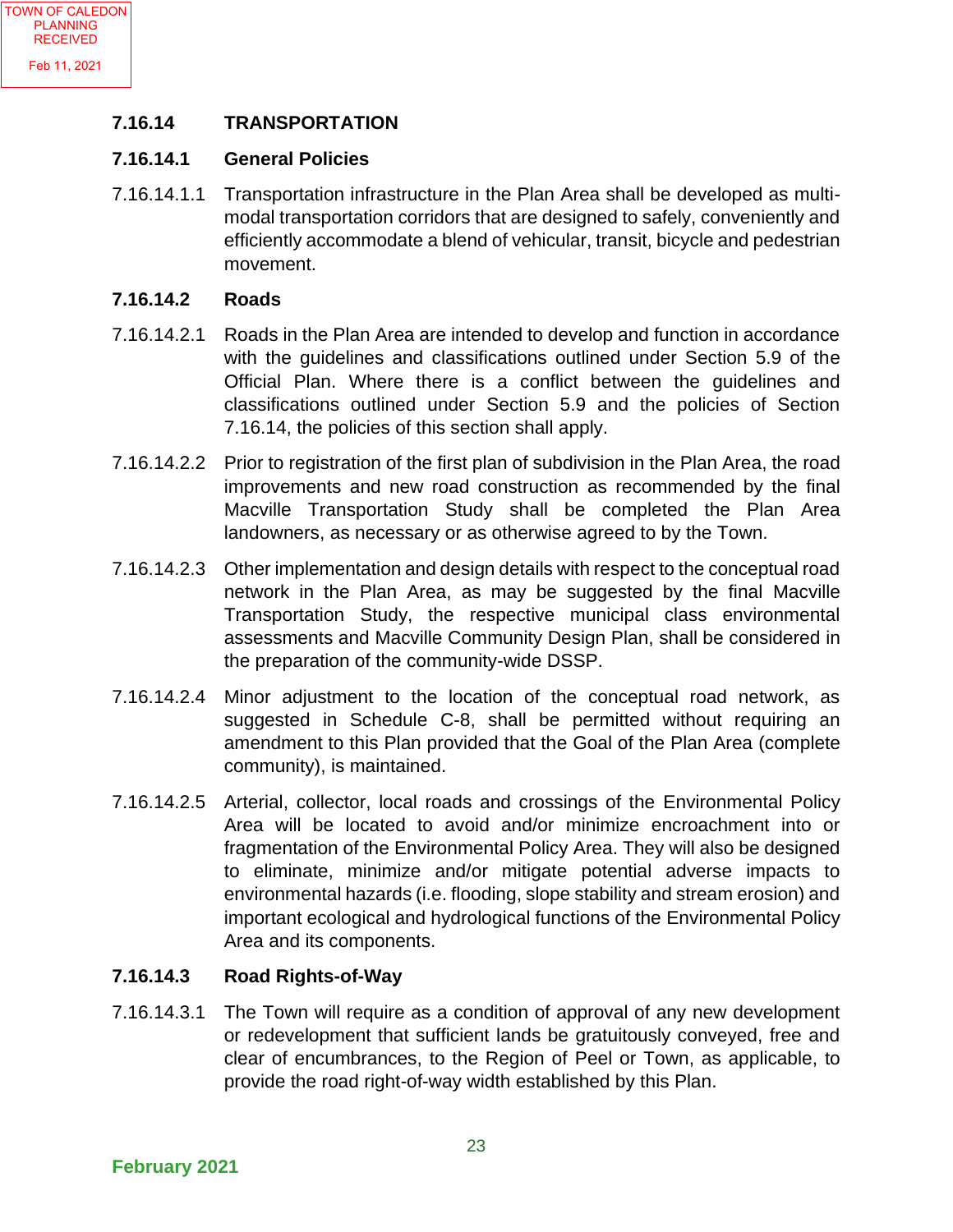#### **7.16.14 TRANSPORTATION**

#### **7.16.14.1 General Policies**

7.16.14.1.1 Transportation infrastructure in the Plan Area shall be developed as multimodal transportation corridors that are designed to safely, conveniently and efficiently accommodate a blend of vehicular, transit, bicycle and pedestrian movement.

#### **7.16.14.2 Roads**

- 7.16.14.2.1 Roads in the Plan Area are intended to develop and function in accordance with the guidelines and classifications outlined under Section 5.9 of the Official Plan. Where there is a conflict between the guidelines and classifications outlined under Section 5.9 and the policies of Section 7.16.14, the policies of this section shall apply.
- 7.16.14.2.2 Prior to registration of the first plan of subdivision in the Plan Area, the road improvements and new road construction as recommended by the final Macville Transportation Study shall be completed the Plan Area landowners, as necessary or as otherwise agreed to by the Town.
- 7.16.14.2.3 Other implementation and design details with respect to the conceptual road network in the Plan Area, as may be suggested by the final Macville Transportation Study, the respective municipal class environmental assessments and Macville Community Design Plan, shall be considered in the preparation of the community-wide DSSP.
- 7.16.14.2.4 Minor adjustment to the location of the conceptual road network, as suggested in Schedule C-8, shall be permitted without requiring an amendment to this Plan provided that the Goal of the Plan Area (complete community), is maintained.
- 7.16.14.2.5 Arterial, collector, local roads and crossings of the Environmental Policy Area will be located to avoid and/or minimize encroachment into or fragmentation of the Environmental Policy Area. They will also be designed to eliminate, minimize and/or mitigate potential adverse impacts to environmental hazards (i.e. flooding, slope stability and stream erosion) and important ecological and hydrological functions of the Environmental Policy Area and its components.

#### **7.16.14.3 Road Rights-of-Way**

7.16.14.3.1 The Town will require as a condition of approval of any new development or redevelopment that sufficient lands be gratuitously conveyed, free and clear of encumbrances, to the Region of Peel or Town, as applicable, to provide the road right-of-way width established by this Plan.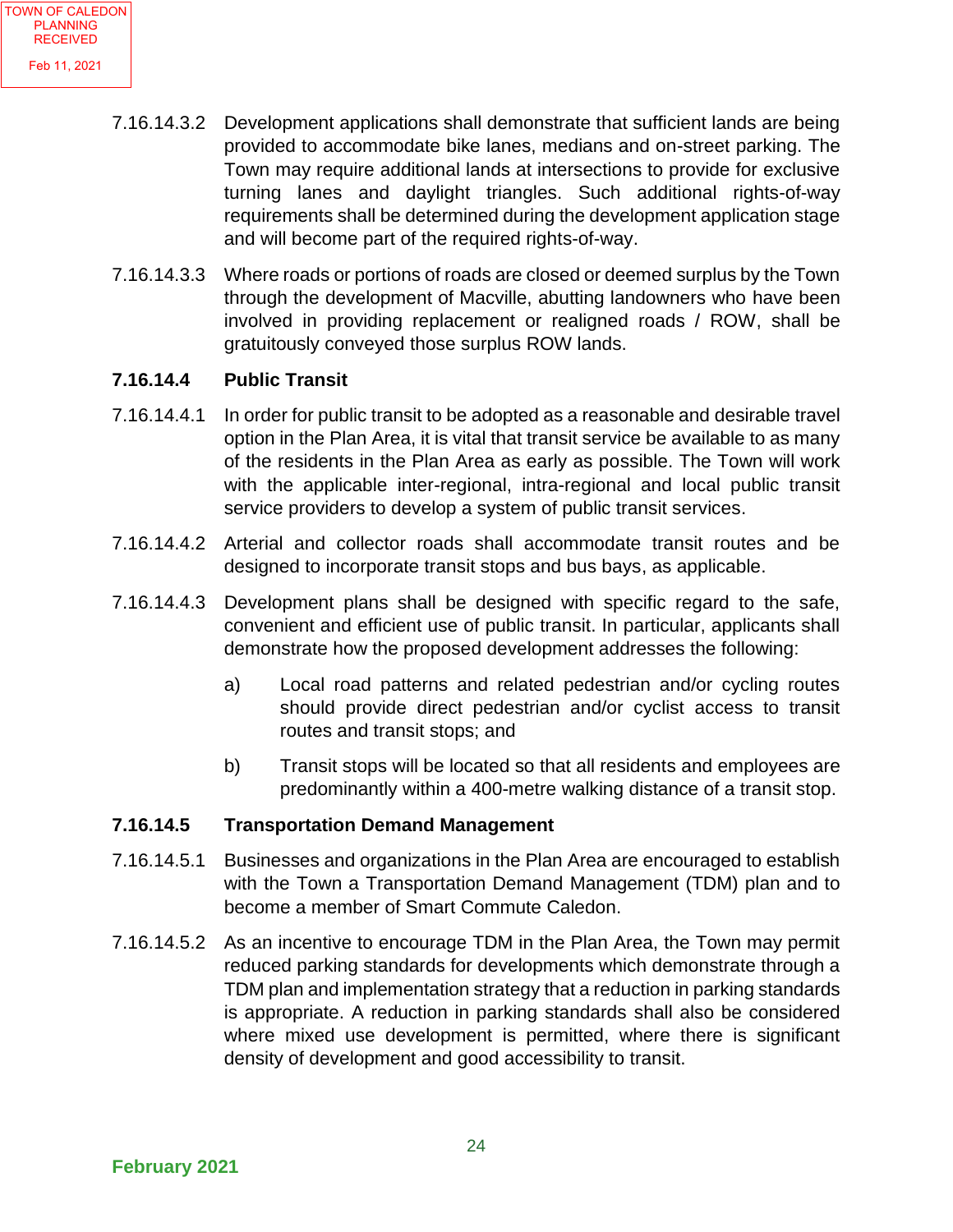- 7.16.14.3.2 Development applications shall demonstrate that sufficient lands are being provided to accommodate bike lanes, medians and on-street parking. The Town may require additional lands at intersections to provide for exclusive turning lanes and daylight triangles. Such additional rights-of-way requirements shall be determined during the development application stage and will become part of the required rights-of-way.
- 7.16.14.3.3 Where roads or portions of roads are closed or deemed surplus by the Town through the development of Macville, abutting landowners who have been involved in providing replacement or realigned roads / ROW, shall be gratuitously conveyed those surplus ROW lands.

#### **7.16.14.4 Public Transit**

- 7.16.14.4.1 In order for public transit to be adopted as a reasonable and desirable travel option in the Plan Area, it is vital that transit service be available to as many of the residents in the Plan Area as early as possible. The Town will work with the applicable inter-regional, intra-regional and local public transit service providers to develop a system of public transit services.
- 7.16.14.4.2 Arterial and collector roads shall accommodate transit routes and be designed to incorporate transit stops and bus bays, as applicable.
- 7.16.14.4.3 Development plans shall be designed with specific regard to the safe, convenient and efficient use of public transit. In particular, applicants shall demonstrate how the proposed development addresses the following:
	- a) Local road patterns and related pedestrian and/or cycling routes should provide direct pedestrian and/or cyclist access to transit routes and transit stops; and
	- b) Transit stops will be located so that all residents and employees are predominantly within a 400-metre walking distance of a transit stop.

#### **7.16.14.5 Transportation Demand Management**

- 7.16.14.5.1 Businesses and organizations in the Plan Area are encouraged to establish with the Town a Transportation Demand Management (TDM) plan and to become a member of Smart Commute Caledon.
- 7.16.14.5.2 As an incentive to encourage TDM in the Plan Area, the Town may permit reduced parking standards for developments which demonstrate through a TDM plan and implementation strategy that a reduction in parking standards is appropriate. A reduction in parking standards shall also be considered where mixed use development is permitted, where there is significant density of development and good accessibility to transit.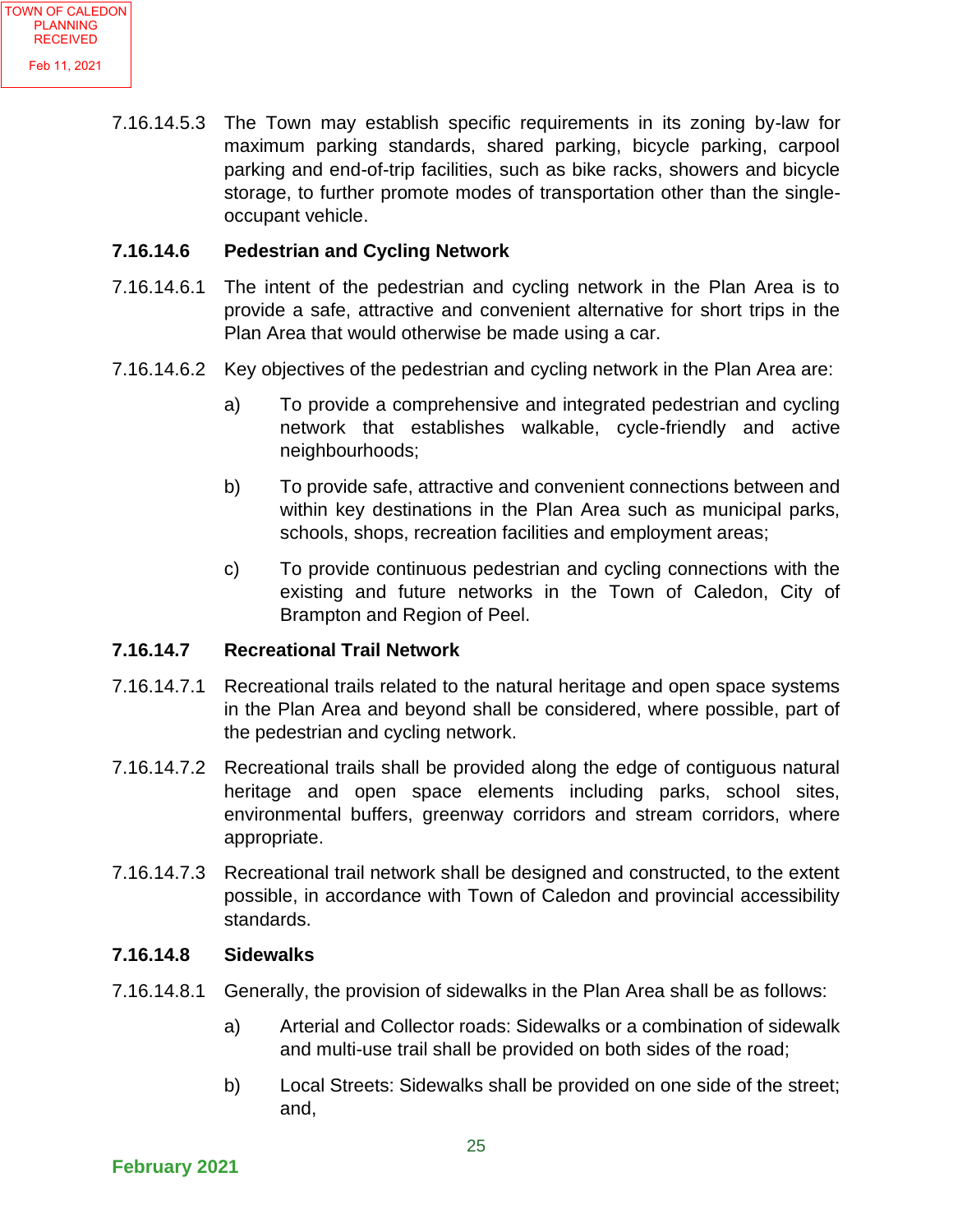7.16.14.5.3 The Town may establish specific requirements in its zoning by-law for maximum parking standards, shared parking, bicycle parking, carpool parking and end-of-trip facilities, such as bike racks, showers and bicycle storage, to further promote modes of transportation other than the singleoccupant vehicle.

#### **7.16.14.6 Pedestrian and Cycling Network**

- 7.16.14.6.1 The intent of the pedestrian and cycling network in the Plan Area is to provide a safe, attractive and convenient alternative for short trips in the Plan Area that would otherwise be made using a car.
- 7.16.14.6.2 Key objectives of the pedestrian and cycling network in the Plan Area are:
	- a) To provide a comprehensive and integrated pedestrian and cycling network that establishes walkable, cycle-friendly and active neighbourhoods;
	- b) To provide safe, attractive and convenient connections between and within key destinations in the Plan Area such as municipal parks, schools, shops, recreation facilities and employment areas;
	- c) To provide continuous pedestrian and cycling connections with the existing and future networks in the Town of Caledon, City of Brampton and Region of Peel.

#### **7.16.14.7 Recreational Trail Network**

- 7.16.14.7.1 Recreational trails related to the natural heritage and open space systems in the Plan Area and beyond shall be considered, where possible, part of the pedestrian and cycling network.
- 7.16.14.7.2 Recreational trails shall be provided along the edge of contiguous natural heritage and open space elements including parks, school sites, environmental buffers, greenway corridors and stream corridors, where appropriate.
- 7.16.14.7.3 Recreational trail network shall be designed and constructed, to the extent possible, in accordance with Town of Caledon and provincial accessibility standards.

#### **7.16.14.8 Sidewalks**

- 7.16.14.8.1 Generally, the provision of sidewalks in the Plan Area shall be as follows:
	- a) Arterial and Collector roads: Sidewalks or a combination of sidewalk and multi-use trail shall be provided on both sides of the road;
	- b) Local Streets: Sidewalks shall be provided on one side of the street; and,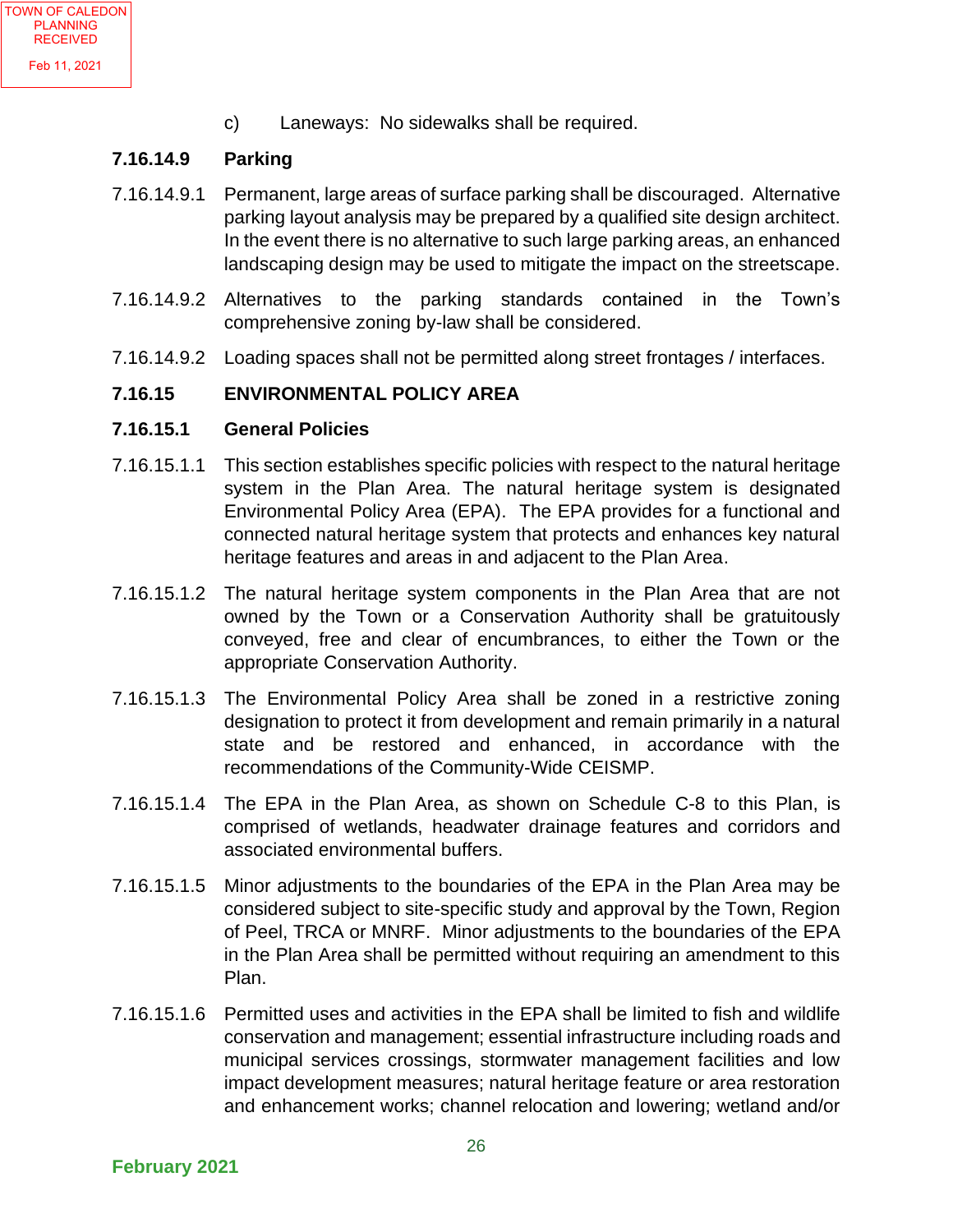c) Laneways: No sidewalks shall be required.

#### **7.16.14.9 Parking**

- 7.16.14.9.1 Permanent, large areas of surface parking shall be discouraged. Alternative parking layout analysis may be prepared by a qualified site design architect. In the event there is no alternative to such large parking areas, an enhanced landscaping design may be used to mitigate the impact on the streetscape.
- 7.16.14.9.2 Alternatives to the parking standards contained in the Town's comprehensive zoning by-law shall be considered.
- 7.16.14.9.2 Loading spaces shall not be permitted along street frontages / interfaces.

#### **7.16.15 ENVIRONMENTAL POLICY AREA**

#### **7.16.15.1 General Policies**

- 7.16.15.1.1 This section establishes specific policies with respect to the natural heritage system in the Plan Area. The natural heritage system is designated Environmental Policy Area (EPA). The EPA provides for a functional and connected natural heritage system that protects and enhances key natural heritage features and areas in and adjacent to the Plan Area.
- 7.16.15.1.2 The natural heritage system components in the Plan Area that are not owned by the Town or a Conservation Authority shall be gratuitously conveyed, free and clear of encumbrances, to either the Town or the appropriate Conservation Authority.
- 7.16.15.1.3 The Environmental Policy Area shall be zoned in a restrictive zoning designation to protect it from development and remain primarily in a natural state and be restored and enhanced, in accordance with the recommendations of the Community-Wide CEISMP.
- 7.16.15.1.4 The EPA in the Plan Area, as shown on Schedule C-8 to this Plan, is comprised of wetlands, headwater drainage features and corridors and associated environmental buffers.
- 7.16.15.1.5 Minor adjustments to the boundaries of the EPA in the Plan Area may be considered subject to site-specific study and approval by the Town, Region of Peel, TRCA or MNRF. Minor adjustments to the boundaries of the EPA in the Plan Area shall be permitted without requiring an amendment to this Plan.
- 7.16.15.1.6 Permitted uses and activities in the EPA shall be limited to fish and wildlife conservation and management; essential infrastructure including roads and municipal services crossings, stormwater management facilities and low impact development measures; natural heritage feature or area restoration and enhancement works; channel relocation and lowering; wetland and/or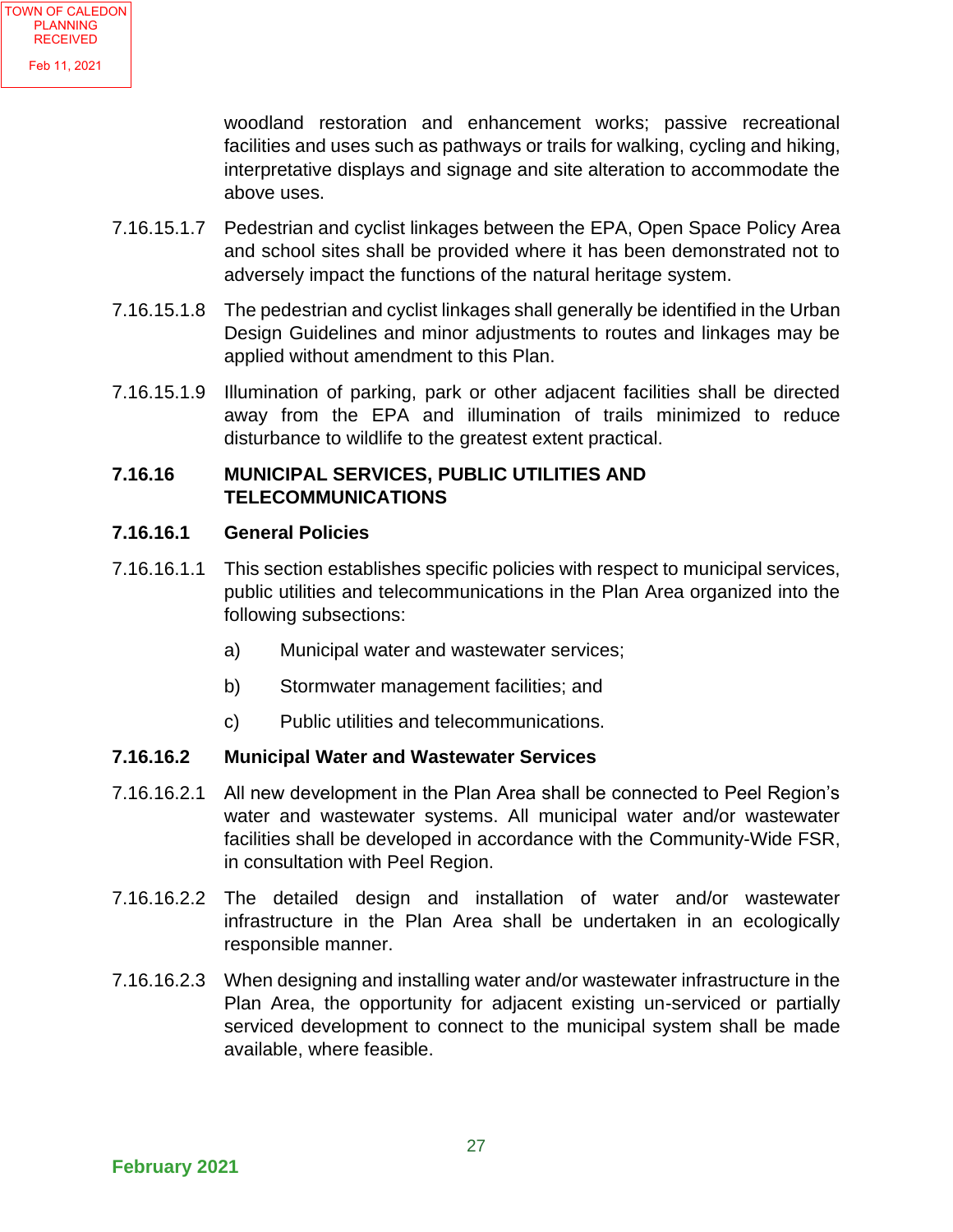woodland restoration and enhancement works; passive recreational facilities and uses such as pathways or trails for walking, cycling and hiking, interpretative displays and signage and site alteration to accommodate the above uses.

- 7.16.15.1.7 Pedestrian and cyclist linkages between the EPA, Open Space Policy Area and school sites shall be provided where it has been demonstrated not to adversely impact the functions of the natural heritage system.
- 7.16.15.1.8 The pedestrian and cyclist linkages shall generally be identified in the Urban Design Guidelines and minor adjustments to routes and linkages may be applied without amendment to this Plan.
- 7.16.15.1.9 Illumination of parking, park or other adjacent facilities shall be directed away from the EPA and illumination of trails minimized to reduce disturbance to wildlife to the greatest extent practical.

#### **7.16.16 MUNICIPAL SERVICES, PUBLIC UTILITIES AND TELECOMMUNICATIONS**

#### **7.16.16.1 General Policies**

- 7.16.16.1.1 This section establishes specific policies with respect to municipal services, public utilities and telecommunications in the Plan Area organized into the following subsections:
	- a) Municipal water and wastewater services;
	- b) Stormwater management facilities; and
	- c) Public utilities and telecommunications.

#### **7.16.16.2 Municipal Water and Wastewater Services**

- 7.16.16.2.1 All new development in the Plan Area shall be connected to Peel Region's water and wastewater systems. All municipal water and/or wastewater facilities shall be developed in accordance with the Community-Wide FSR, in consultation with Peel Region.
- 7.16.16.2.2 The detailed design and installation of water and/or wastewater infrastructure in the Plan Area shall be undertaken in an ecologically responsible manner.
- 7.16.16.2.3 When designing and installing water and/or wastewater infrastructure in the Plan Area, the opportunity for adjacent existing un-serviced or partially serviced development to connect to the municipal system shall be made available, where feasible.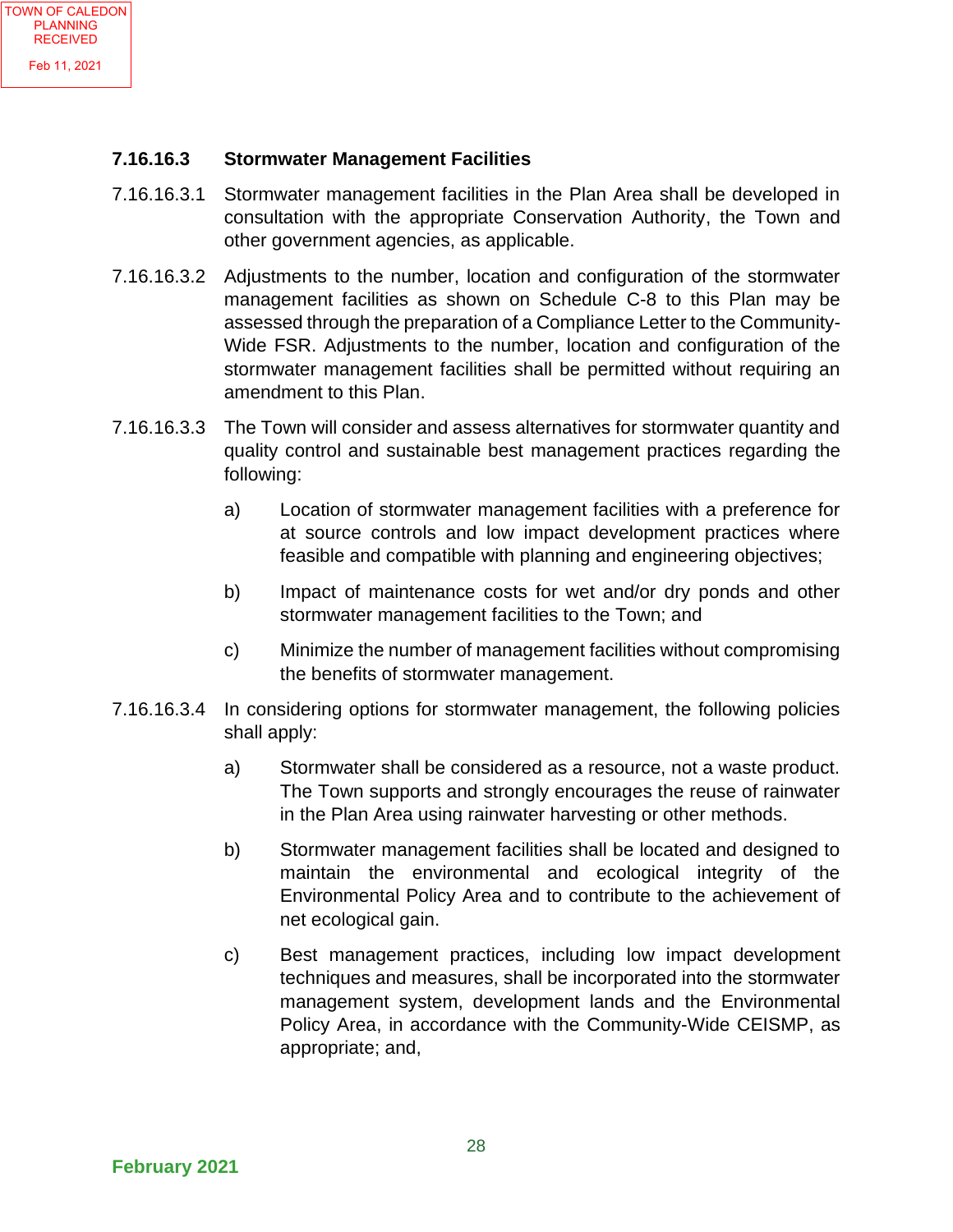#### **7.16.16.3 Stormwater Management Facilities**

- 7.16.16.3.1 Stormwater management facilities in the Plan Area shall be developed in consultation with the appropriate Conservation Authority, the Town and other government agencies, as applicable.
- 7.16.16.3.2 Adjustments to the number, location and configuration of the stormwater management facilities as shown on Schedule C-8 to this Plan may be assessed through the preparation of a Compliance Letter to the Community-Wide FSR. Adjustments to the number, location and configuration of the stormwater management facilities shall be permitted without requiring an amendment to this Plan.
- 7.16.16.3.3 The Town will consider and assess alternatives for stormwater quantity and quality control and sustainable best management practices regarding the following:
	- a) Location of stormwater management facilities with a preference for at source controls and low impact development practices where feasible and compatible with planning and engineering objectives;
	- b) Impact of maintenance costs for wet and/or dry ponds and other stormwater management facilities to the Town; and
	- c) Minimize the number of management facilities without compromising the benefits of stormwater management.
- 7.16.16.3.4 In considering options for stormwater management, the following policies shall apply:
	- a) Stormwater shall be considered as a resource, not a waste product. The Town supports and strongly encourages the reuse of rainwater in the Plan Area using rainwater harvesting or other methods.
	- b) Stormwater management facilities shall be located and designed to maintain the environmental and ecological integrity of the Environmental Policy Area and to contribute to the achievement of net ecological gain.
	- c) Best management practices, including low impact development techniques and measures, shall be incorporated into the stormwater management system, development lands and the Environmental Policy Area, in accordance with the Community-Wide CEISMP, as appropriate; and,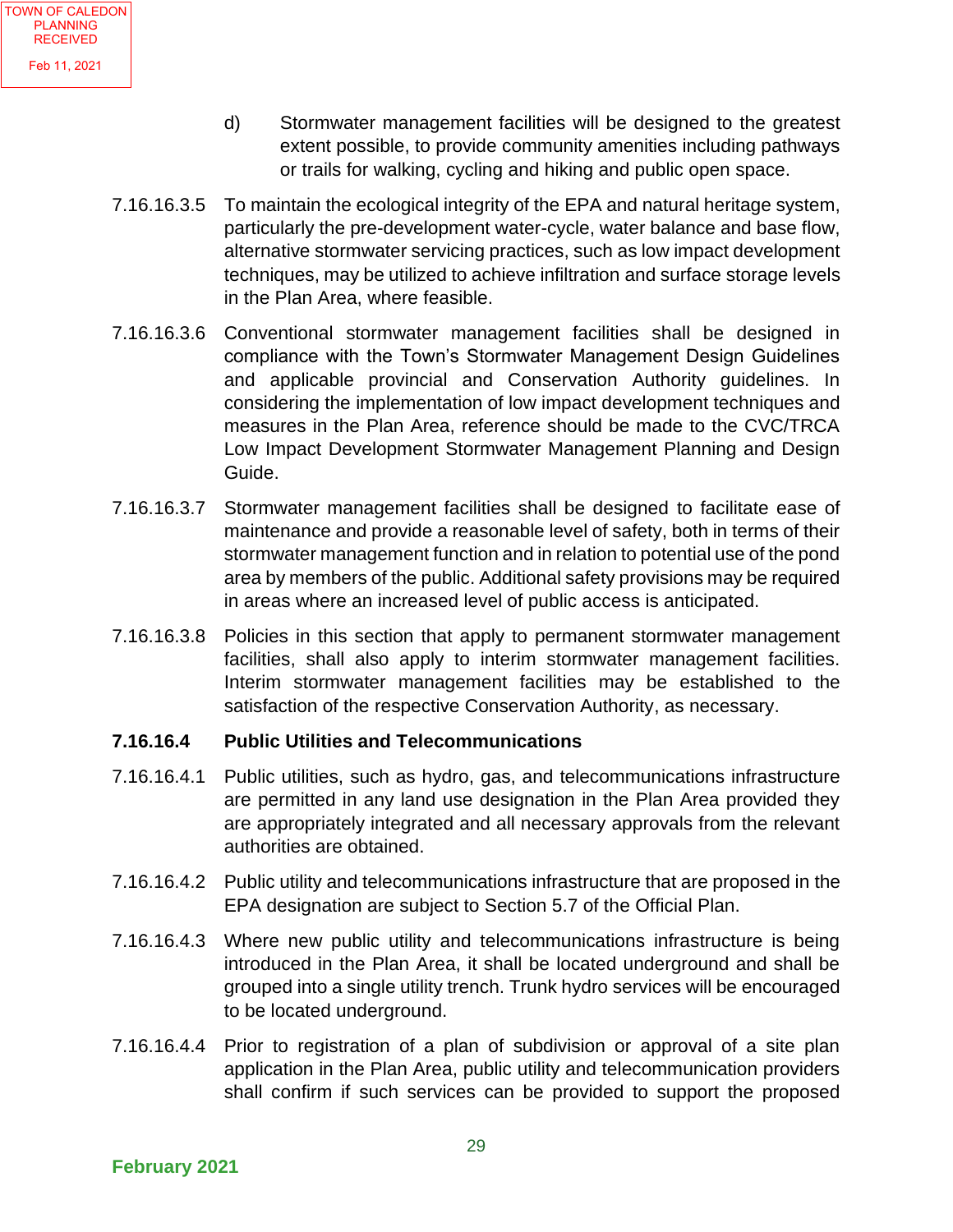- d) Stormwater management facilities will be designed to the greatest extent possible, to provide community amenities including pathways or trails for walking, cycling and hiking and public open space.
- 7.16.16.3.5 To maintain the ecological integrity of the EPA and natural heritage system, particularly the pre-development water-cycle, water balance and base flow, alternative stormwater servicing practices, such as low impact development techniques, may be utilized to achieve infiltration and surface storage levels in the Plan Area, where feasible.
- 7.16.16.3.6 Conventional stormwater management facilities shall be designed in compliance with the Town's Stormwater Management Design Guidelines and applicable provincial and Conservation Authority guidelines. In considering the implementation of low impact development techniques and measures in the Plan Area, reference should be made to the CVC/TRCA Low Impact Development Stormwater Management Planning and Design Guide.
- 7.16.16.3.7 Stormwater management facilities shall be designed to facilitate ease of maintenance and provide a reasonable level of safety, both in terms of their stormwater management function and in relation to potential use of the pond area by members of the public. Additional safety provisions may be required in areas where an increased level of public access is anticipated.
- 7.16.16.3.8 Policies in this section that apply to permanent stormwater management facilities, shall also apply to interim stormwater management facilities. Interim stormwater management facilities may be established to the satisfaction of the respective Conservation Authority, as necessary.

#### **7.16.16.4 Public Utilities and Telecommunications**

- 7.16.16.4.1 Public utilities, such as hydro, gas, and telecommunications infrastructure are permitted in any land use designation in the Plan Area provided they are appropriately integrated and all necessary approvals from the relevant authorities are obtained.
- 7.16.16.4.2 Public utility and telecommunications infrastructure that are proposed in the EPA designation are subject to Section 5.7 of the Official Plan.
- 7.16.16.4.3 Where new public utility and telecommunications infrastructure is being introduced in the Plan Area, it shall be located underground and shall be grouped into a single utility trench. Trunk hydro services will be encouraged to be located underground.
- 7.16.16.4.4 Prior to registration of a plan of subdivision or approval of a site plan application in the Plan Area, public utility and telecommunication providers shall confirm if such services can be provided to support the proposed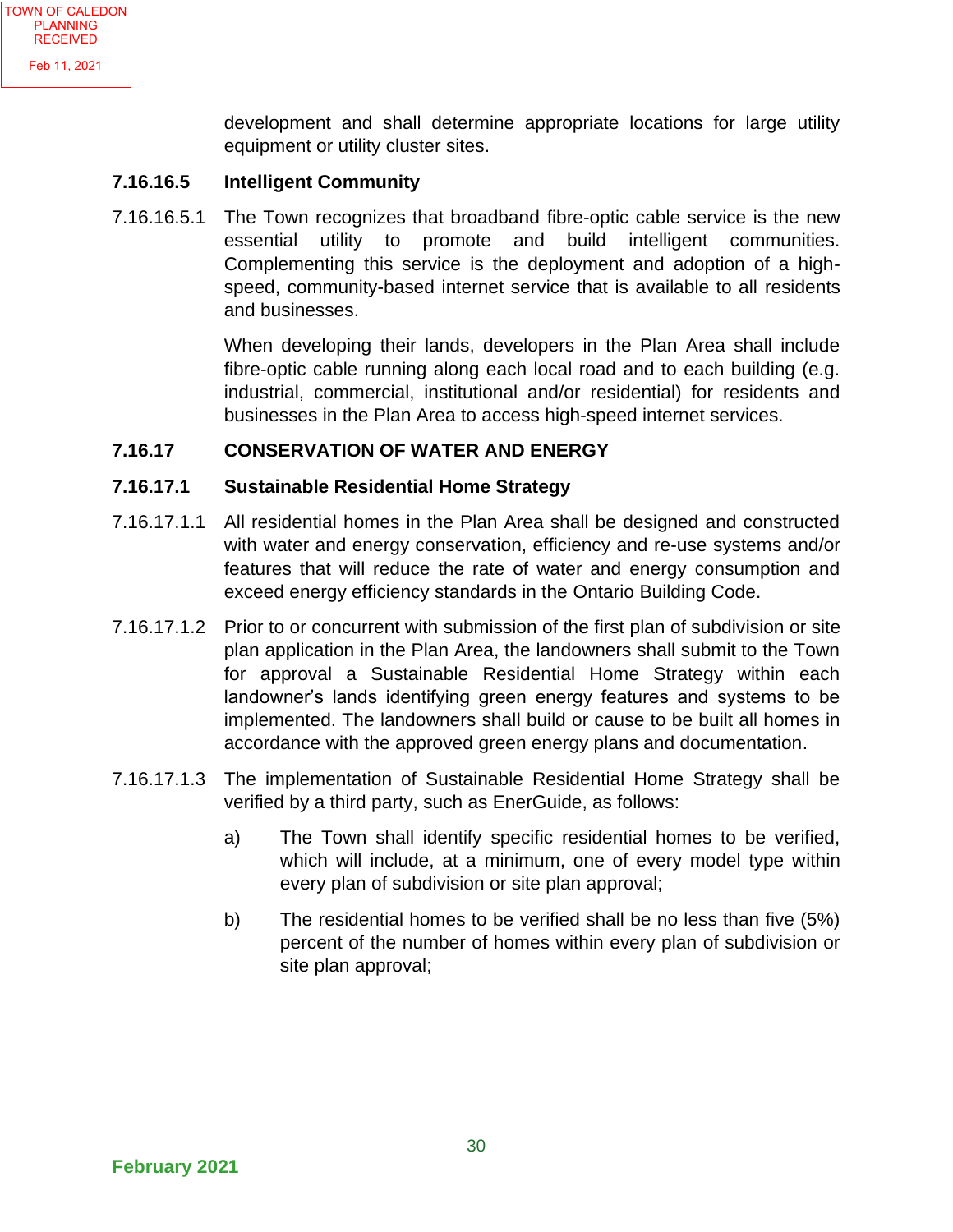development and shall determine appropriate locations for large utility equipment or utility cluster sites.

#### **7.16.16.5 Intelligent Community**

7.16.16.5.1 The Town recognizes that broadband fibre-optic cable service is the new essential utility to promote and build intelligent communities. Complementing this service is the deployment and adoption of a highspeed, community-based internet service that is available to all residents and businesses.

> When developing their lands, developers in the Plan Area shall include fibre-optic cable running along each local road and to each building (e.g. industrial, commercial, institutional and/or residential) for residents and businesses in the Plan Area to access high-speed internet services.

#### **7.16.17 CONSERVATION OF WATER AND ENERGY**

#### **7.16.17.1 Sustainable Residential Home Strategy**

- 7.16.17.1.1 All residential homes in the Plan Area shall be designed and constructed with water and energy conservation, efficiency and re-use systems and/or features that will reduce the rate of water and energy consumption and exceed energy efficiency standards in the Ontario Building Code.
- 7.16.17.1.2 Prior to or concurrent with submission of the first plan of subdivision or site plan application in the Plan Area, the landowners shall submit to the Town for approval a Sustainable Residential Home Strategy within each landowner's lands identifying green energy features and systems to be implemented. The landowners shall build or cause to be built all homes in accordance with the approved green energy plans and documentation.
- 7.16.17.1.3 The implementation of Sustainable Residential Home Strategy shall be verified by a third party, such as EnerGuide, as follows:
	- a) The Town shall identify specific residential homes to be verified, which will include, at a minimum, one of every model type within every plan of subdivision or site plan approval;
	- b) The residential homes to be verified shall be no less than five (5%) percent of the number of homes within every plan of subdivision or site plan approval;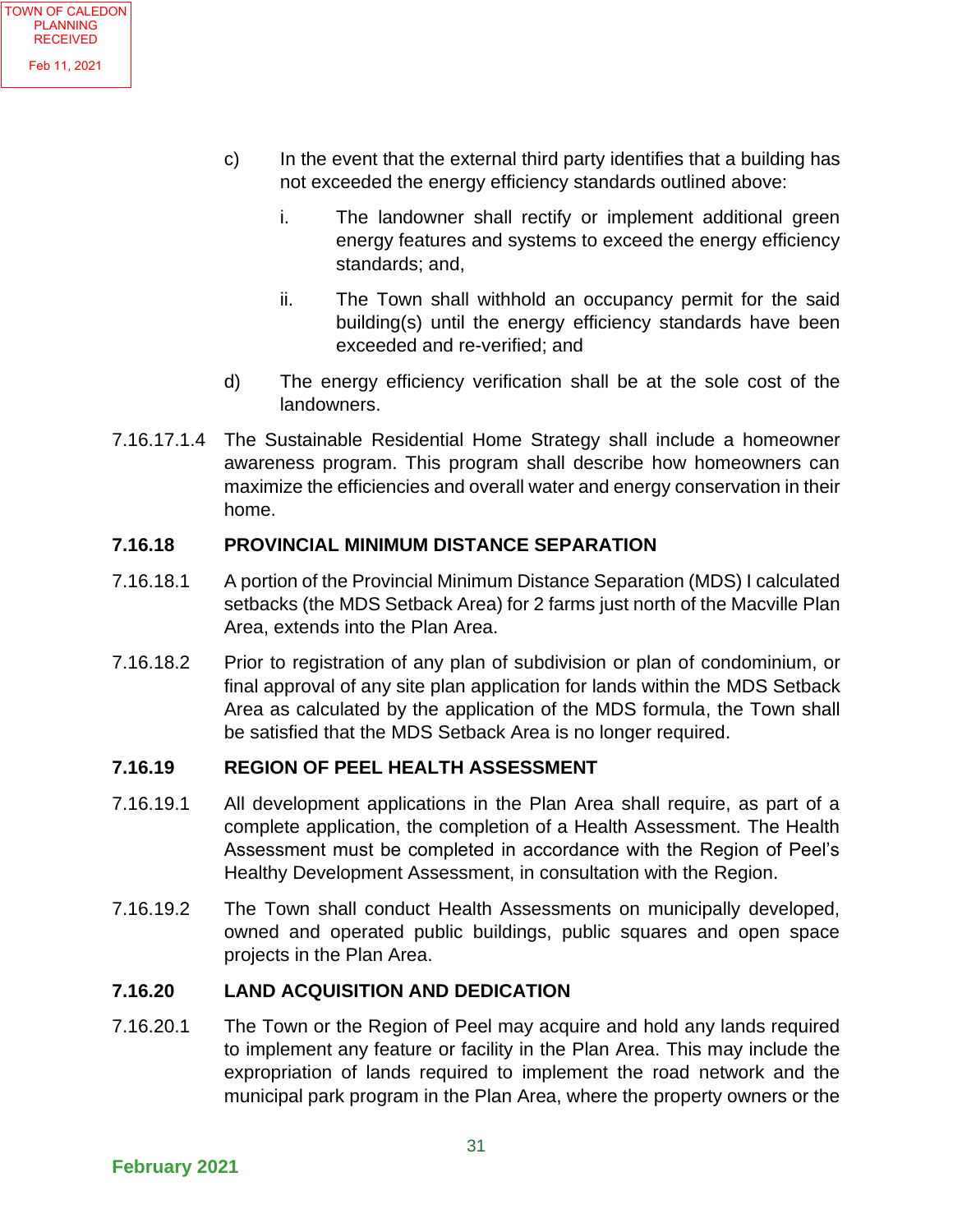- c) In the event that the external third party identifies that a building has not exceeded the energy efficiency standards outlined above:
	- i. The landowner shall rectify or implement additional green energy features and systems to exceed the energy efficiency standards; and,
	- ii. The Town shall withhold an occupancy permit for the said building(s) until the energy efficiency standards have been exceeded and re-verified; and
- d) The energy efficiency verification shall be at the sole cost of the landowners.
- 7.16.17.1.4 The Sustainable Residential Home Strategy shall include a homeowner awareness program. This program shall describe how homeowners can maximize the efficiencies and overall water and energy conservation in their home.

#### **7.16.18 PROVINCIAL MINIMUM DISTANCE SEPARATION**

- 7.16.18.1 A portion of the Provincial Minimum Distance Separation (MDS) I calculated setbacks (the MDS Setback Area) for 2 farms just north of the Macville Plan Area, extends into the Plan Area.
- 7.16.18.2 Prior to registration of any plan of subdivision or plan of condominium, or final approval of any site plan application for lands within the MDS Setback Area as calculated by the application of the MDS formula, the Town shall be satisfied that the MDS Setback Area is no longer required.

#### **7.16.19 REGION OF PEEL HEALTH ASSESSMENT**

- 7.16.19.1 All development applications in the Plan Area shall require, as part of a complete application, the completion of a Health Assessment. The Health Assessment must be completed in accordance with the Region of Peel's Healthy Development Assessment, in consultation with the Region.
- 7.16.19.2 The Town shall conduct Health Assessments on municipally developed, owned and operated public buildings, public squares and open space projects in the Plan Area.

#### **7.16.20 LAND ACQUISITION AND DEDICATION**

7.16.20.1 The Town or the Region of Peel may acquire and hold any lands required to implement any feature or facility in the Plan Area. This may include the expropriation of lands required to implement the road network and the municipal park program in the Plan Area, where the property owners or the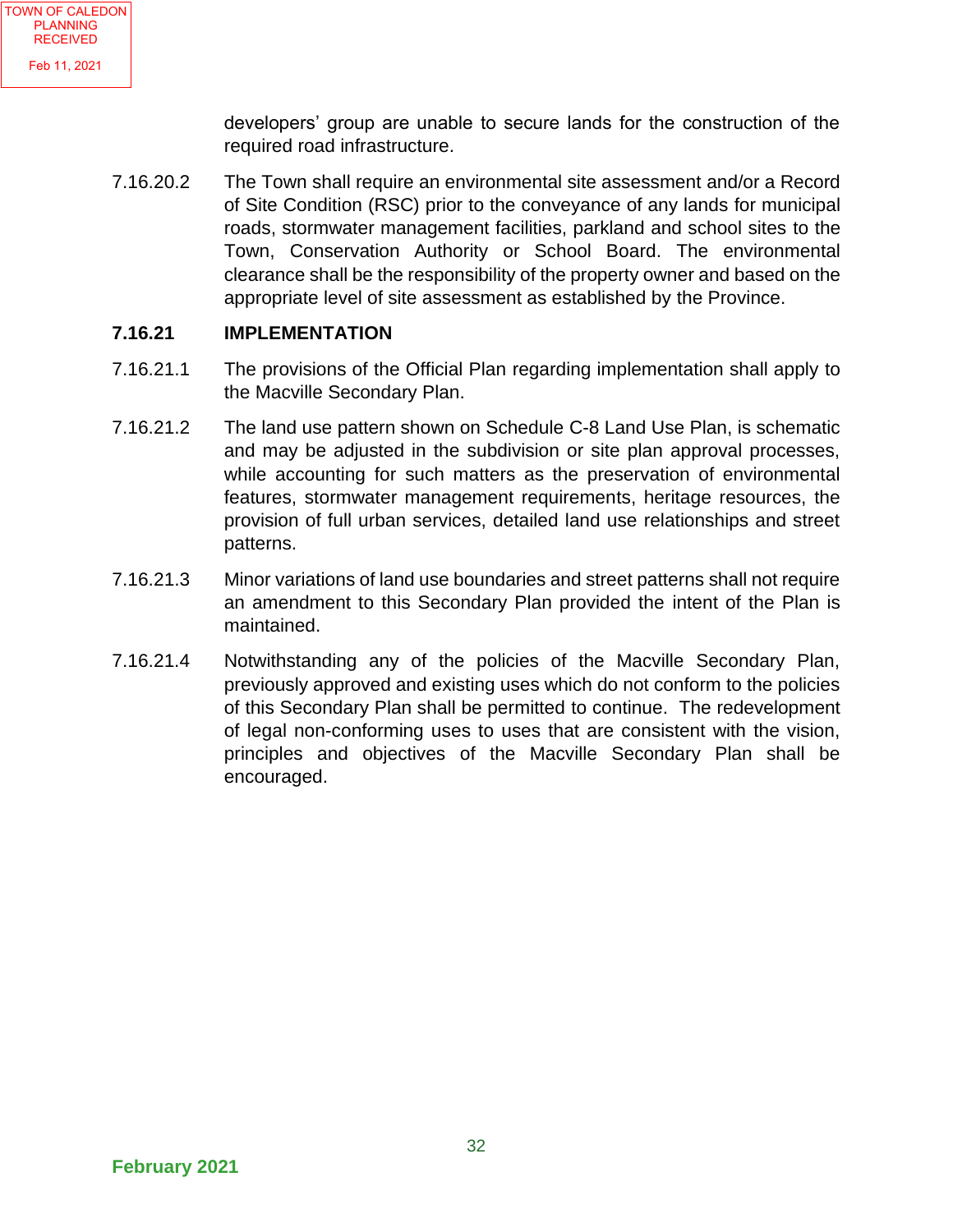developers' group are unable to secure lands for the construction of the required road infrastructure.

7.16.20.2 The Town shall require an environmental site assessment and/or a Record of Site Condition (RSC) prior to the conveyance of any lands for municipal roads, stormwater management facilities, parkland and school sites to the Town, Conservation Authority or School Board. The environmental clearance shall be the responsibility of the property owner and based on the appropriate level of site assessment as established by the Province.

#### **7.16.21 IMPLEMENTATION**

- 7.16.21.1 The provisions of the Official Plan regarding implementation shall apply to the Macville Secondary Plan.
- 7.16.21.2 The land use pattern shown on Schedule C-8 Land Use Plan, is schematic and may be adjusted in the subdivision or site plan approval processes, while accounting for such matters as the preservation of environmental features, stormwater management requirements, heritage resources, the provision of full urban services, detailed land use relationships and street patterns.
- 7.16.21.3 Minor variations of land use boundaries and street patterns shall not require an amendment to this Secondary Plan provided the intent of the Plan is maintained.
- 7.16.21.4 Notwithstanding any of the policies of the Macville Secondary Plan, previously approved and existing uses which do not conform to the policies of this Secondary Plan shall be permitted to continue. The redevelopment of legal non-conforming uses to uses that are consistent with the vision, principles and objectives of the Macville Secondary Plan shall be encouraged.